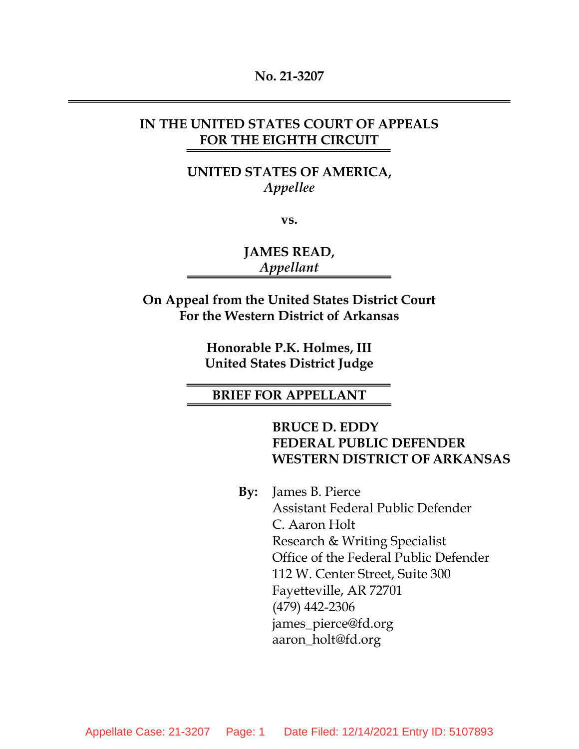#### **No. 21-3207**

### **IN THE UNITED STATES COURT OF APPEALS FOR THE EIGHTH CIRCUIT**

**UNITED STATES OF AMERICA,** *Appellee*

**vs.**

**JAMES READ,** *Appellant*

**On Appeal from the United States District Court For the Western District of Arkansas**

> **Honorable P.K. Holmes, III United States District Judge**

#### **BRIEF FOR APPELLANT**

**BRUCE D. EDDY FEDERAL PUBLIC DEFENDER WESTERN DISTRICT OF ARKANSAS**

**By:** James B. Pierce Assistant Federal Public Defender C. Aaron Holt Research & Writing Specialist Office of the Federal Public Defender 112 W. Center Street, Suite 300 Fayetteville, AR 72701 (479) 442-2306 james\_pierce@fd.org aaron\_holt@fd.org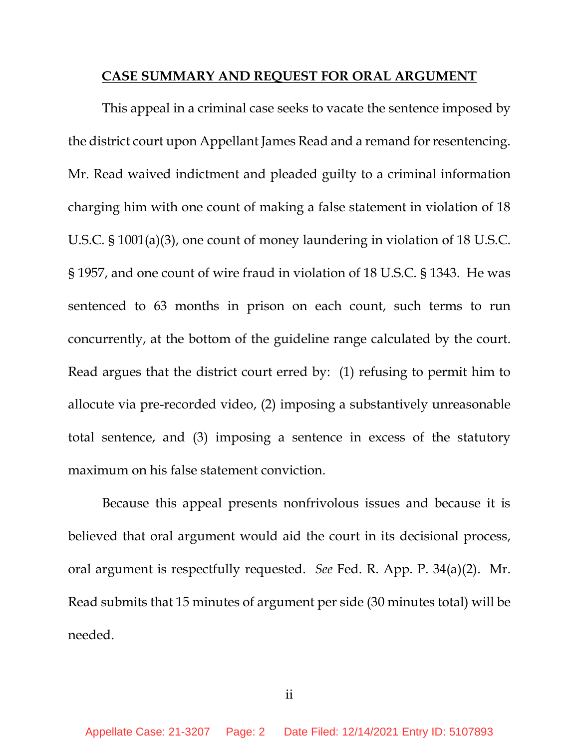#### **CASE SUMMARY AND REQUEST FOR ORAL ARGUMENT**

This appeal in a criminal case seeks to vacate the sentence imposed by the district court upon Appellant James Read and a remand for resentencing. Mr. Read waived indictment and pleaded guilty to a criminal information charging him with one count of making a false statement in violation of 18 U.S.C. § 1001(a)(3), one count of money laundering in violation of 18 U.S.C. § 1957, and one count of wire fraud in violation of 18 U.S.C. § 1343. He was sentenced to 63 months in prison on each count, such terms to run concurrently, at the bottom of the guideline range calculated by the court. Read argues that the district court erred by: (1) refusing to permit him to allocute via pre-recorded video, (2) imposing a substantively unreasonable total sentence, and (3) imposing a sentence in excess of the statutory maximum on his false statement conviction.

Because this appeal presents nonfrivolous issues and because it is believed that oral argument would aid the court in its decisional process, oral argument is respectfully requested. *See* Fed. R. App. P. 34(a)(2). Mr. Read submits that 15 minutes of argument per side (30 minutes total) will be needed.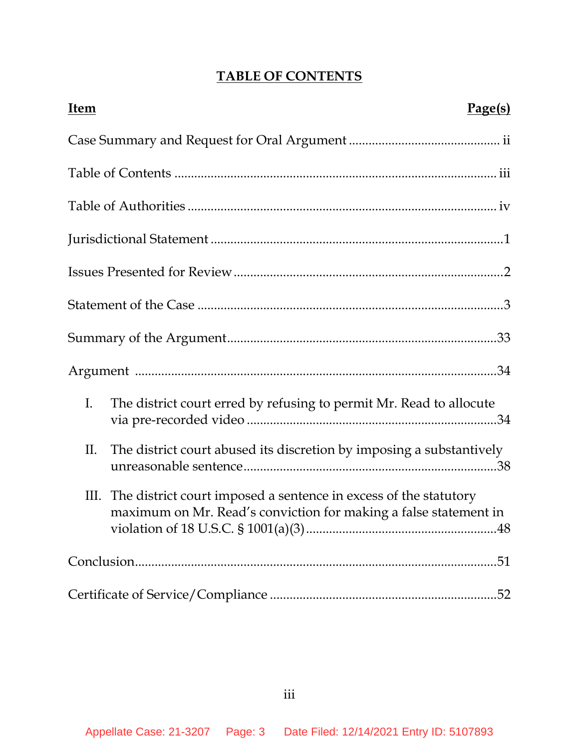# **TABLE OF CONTENTS**

| Item |                                                                                                                                           | Page(s) |
|------|-------------------------------------------------------------------------------------------------------------------------------------------|---------|
|      |                                                                                                                                           |         |
|      |                                                                                                                                           |         |
|      |                                                                                                                                           |         |
|      |                                                                                                                                           |         |
|      |                                                                                                                                           |         |
|      |                                                                                                                                           |         |
|      |                                                                                                                                           |         |
|      |                                                                                                                                           |         |
| I.   | The district court erred by refusing to permit Mr. Read to allocute                                                                       |         |
| Π.   | The district court abused its discretion by imposing a substantively                                                                      |         |
|      | III. The district court imposed a sentence in excess of the statutory<br>maximum on Mr. Read's conviction for making a false statement in |         |
|      |                                                                                                                                           |         |
|      |                                                                                                                                           |         |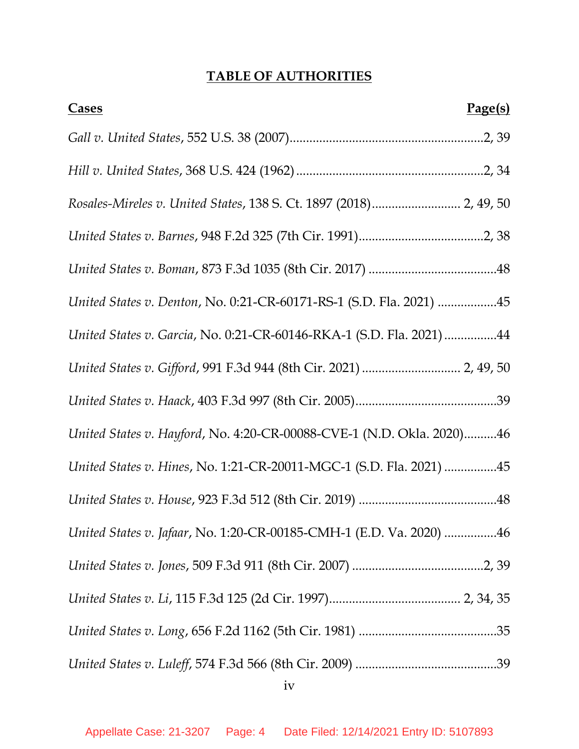## **TABLE OF AUTHORITIES**

| Page(s)<br><b>Cases</b>                                               |
|-----------------------------------------------------------------------|
|                                                                       |
|                                                                       |
| Rosales-Mireles v. United States, 138 S. Ct. 1897 (2018) 2, 49, 50    |
|                                                                       |
|                                                                       |
| United States v. Denton, No. 0:21-CR-60171-RS-1 (S.D. Fla. 2021) 45   |
| United States v. Garcia, No. 0:21-CR-60146-RKA-1 (S.D. Fla. 2021) 44  |
| United States v. Gifford, 991 F.3d 944 (8th Cir. 2021)  2, 49, 50     |
|                                                                       |
| United States v. Hayford, No. 4:20-CR-00088-CVE-1 (N.D. Okla. 2020)46 |
| United States v. Hines, No. 1:21-CR-20011-MGC-1 (S.D. Fla. 2021) 45   |
|                                                                       |
| United States v. Jafaar, No. 1:20-CR-00185-CMH-1 (E.D. Va. 2020) 46   |
|                                                                       |
|                                                                       |
|                                                                       |
|                                                                       |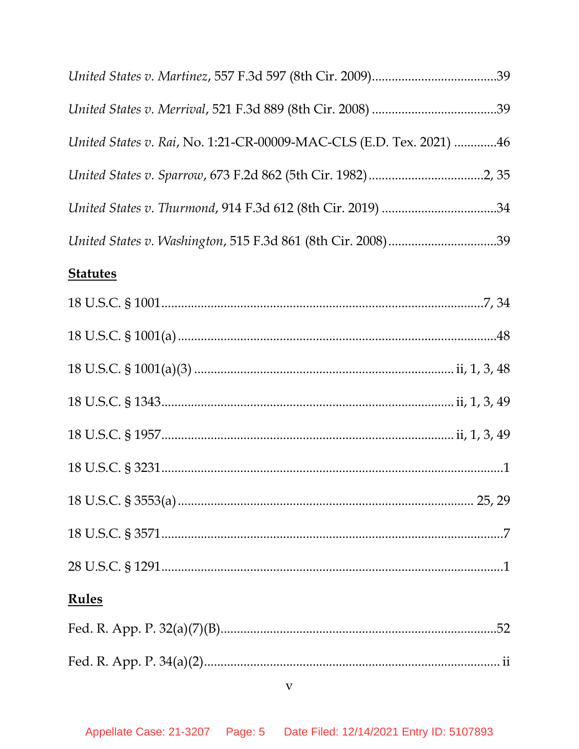| United States v. Rai, No. 1:21-CR-00009-MAC-CLS (E.D. Tex. 2021) 46 |  |
|---------------------------------------------------------------------|--|
|                                                                     |  |
| United States v. Thurmond, 914 F.3d 612 (8th Cir. 2019) 34          |  |
| United States v. Washington, 515 F.3d 861 (8th Cir. 2008)39         |  |

# **Statutes**

| <b>Rules</b> |  |
|--------------|--|
|              |  |
|              |  |
| $\mathbf V$  |  |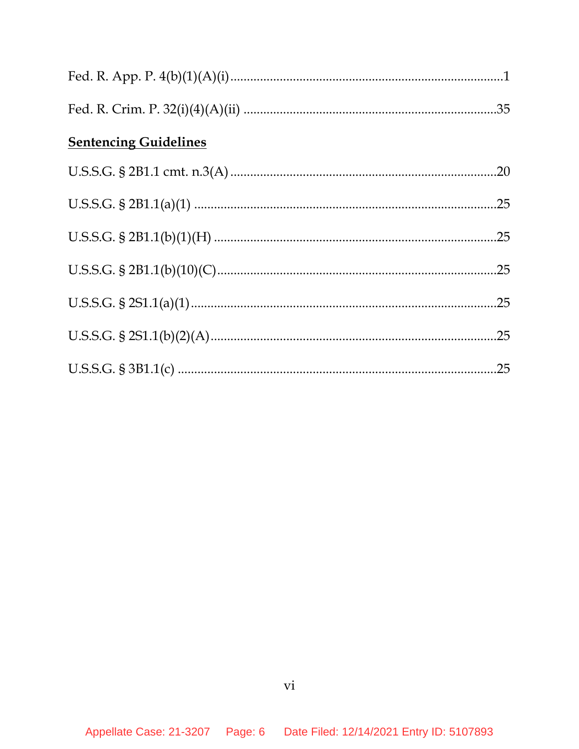| <b>Sentencing Guidelines</b> |  |  |  |
|------------------------------|--|--|--|
|                              |  |  |  |
|                              |  |  |  |
|                              |  |  |  |
|                              |  |  |  |
|                              |  |  |  |
|                              |  |  |  |
|                              |  |  |  |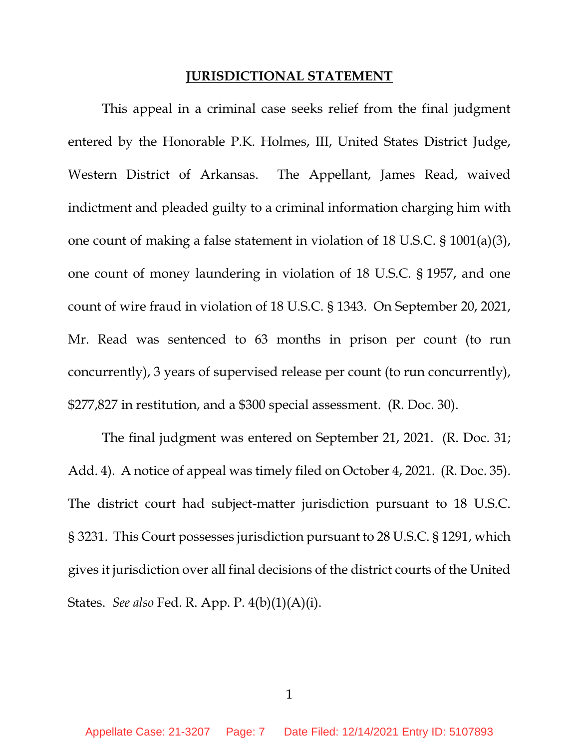#### **JURISDICTIONAL STATEMENT**

This appeal in a criminal case seeks relief from the final judgment entered by the Honorable P.K. Holmes, III, United States District Judge, Western District of Arkansas. The Appellant, James Read, waived indictment and pleaded guilty to a criminal information charging him with one count of making a false statement in violation of 18 U.S.C. § 1001(a)(3), one count of money laundering in violation of 18 U.S.C. § 1957, and one count of wire fraud in violation of 18 U.S.C. § 1343. On September 20, 2021, Mr. Read was sentenced to 63 months in prison per count (to run concurrently), 3 years of supervised release per count (to run concurrently), \$277,827 in restitution, and a \$300 special assessment. (R. Doc. 30).

The final judgment was entered on September 21, 2021. (R. Doc. 31; Add. 4). A notice of appeal was timely filed on October 4, 2021. (R. Doc. 35). The district court had subject-matter jurisdiction pursuant to 18 U.S.C. § 3231. This Court possesses jurisdiction pursuant to 28 U.S.C. § 1291, which gives it jurisdiction over all final decisions of the district courts of the United States. *See also* Fed. R. App. P. 4(b)(1)(A)(i).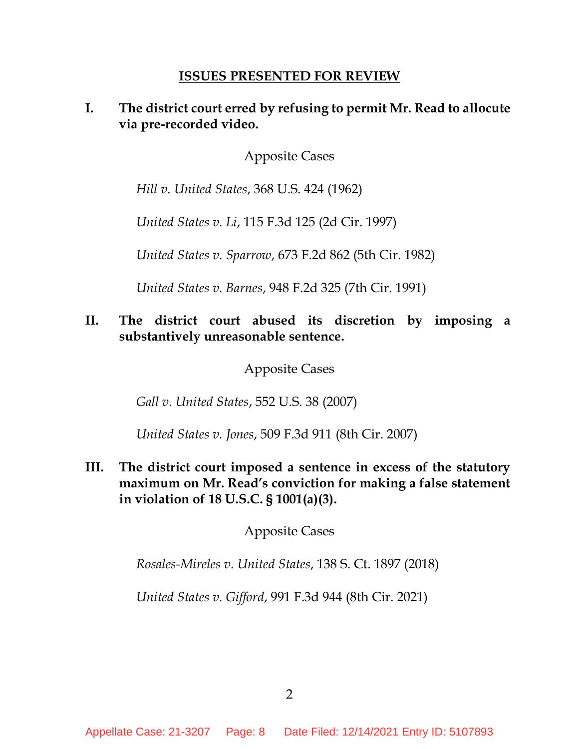### **ISSUES PRESENTED FOR REVIEW**

### **I. The district court erred by refusing to permit Mr. Read to allocute via pre-recorded video.**

Apposite Cases

*Hill v. United States*, 368 U.S. 424 (1962)

*United States v. Li*, 115 F.3d 125 (2d Cir. 1997)

*United States v. Sparrow*, 673 F.2d 862 (5th Cir. 1982)

*United States v. Barnes*, 948 F.2d 325 (7th Cir. 1991)

## **II. The district court abused its discretion by imposing a substantively unreasonable sentence.**

Apposite Cases

*Gall v. United States*, 552 U.S. 38 (2007)

*United States v. Jones*, 509 F.3d 911 (8th Cir. 2007)

**III. The district court imposed a sentence in excess of the statutory maximum on Mr. Read's conviction for making a false statement in violation of 18 U.S.C. § 1001(a)(3).**

Apposite Cases

*Rosales-Mireles v. United States*, 138 S. Ct. 1897 (2018)

*United States v. Gifford*, 991 F.3d 944 (8th Cir. 2021)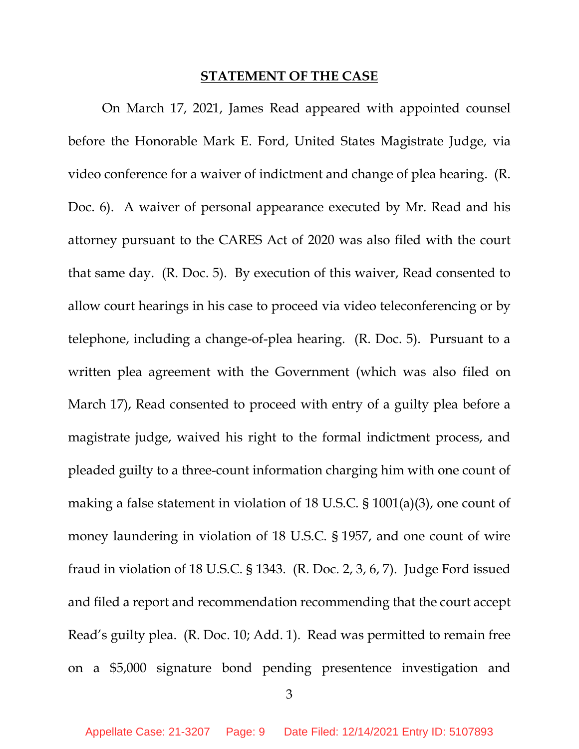#### **STATEMENT OF THE CASE**

On March 17, 2021, James Read appeared with appointed counsel before the Honorable Mark E. Ford, United States Magistrate Judge, via video conference for a waiver of indictment and change of plea hearing. (R. Doc. 6). A waiver of personal appearance executed by Mr. Read and his attorney pursuant to the CARES Act of 2020 was also filed with the court that same day. (R. Doc. 5). By execution of this waiver, Read consented to allow court hearings in his case to proceed via video teleconferencing or by telephone, including a change-of-plea hearing. (R. Doc. 5). Pursuant to a written plea agreement with the Government (which was also filed on March 17), Read consented to proceed with entry of a guilty plea before a magistrate judge, waived his right to the formal indictment process, and pleaded guilty to a three-count information charging him with one count of making a false statement in violation of 18 U.S.C. § 1001(a)(3), one count of money laundering in violation of 18 U.S.C. § 1957, and one count of wire fraud in violation of 18 U.S.C. § 1343. (R. Doc. 2, 3, 6, 7). Judge Ford issued and filed a report and recommendation recommending that the court accept Read's guilty plea. (R. Doc. 10; Add. 1). Read was permitted to remain free on a \$5,000 signature bond pending presentence investigation and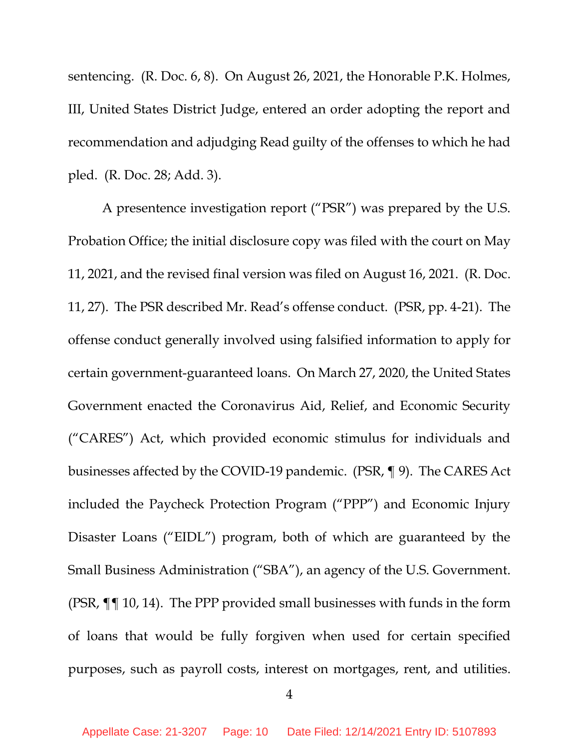sentencing. (R. Doc. 6, 8). On August 26, 2021, the Honorable P.K. Holmes, III, United States District Judge, entered an order adopting the report and recommendation and adjudging Read guilty of the offenses to which he had pled. (R. Doc. 28; Add. 3).

A presentence investigation report ("PSR") was prepared by the U.S. Probation Office; the initial disclosure copy was filed with the court on May 11, 2021, and the revised final version was filed on August 16, 2021. (R. Doc. 11, 27). The PSR described Mr. Read's offense conduct. (PSR, pp. 4-21). The offense conduct generally involved using falsified information to apply for certain government-guaranteed loans. On March 27, 2020, the United States Government enacted the Coronavirus Aid, Relief, and Economic Security ("CARES") Act, which provided economic stimulus for individuals and businesses affected by the COVID-19 pandemic. (PSR, ¶ 9). The CARES Act included the Paycheck Protection Program ("PPP") and Economic Injury Disaster Loans ("EIDL") program, both of which are guaranteed by the Small Business Administration ("SBA"), an agency of the U.S. Government. (PSR, ¶¶ 10, 14). The PPP provided small businesses with funds in the form of loans that would be fully forgiven when used for certain specified purposes, such as payroll costs, interest on mortgages, rent, and utilities.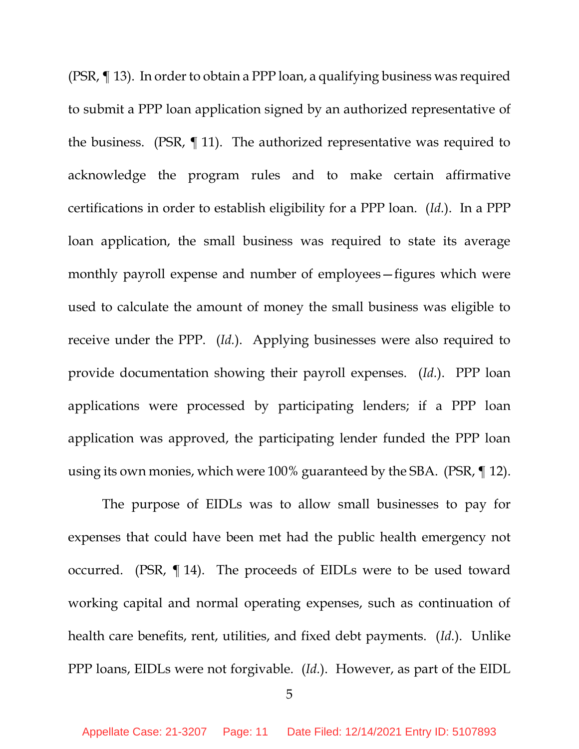(PSR, ¶ 13). In order to obtain a PPP loan, a qualifying business was required to submit a PPP loan application signed by an authorized representative of the business. (PSR, ¶ 11). The authorized representative was required to acknowledge the program rules and to make certain affirmative certifications in order to establish eligibility for a PPP loan. (*Id.*). In a PPP loan application, the small business was required to state its average monthly payroll expense and number of employees—figures which were used to calculate the amount of money the small business was eligible to receive under the PPP. (*Id.*). Applying businesses were also required to provide documentation showing their payroll expenses. (*Id.*). PPP loan applications were processed by participating lenders; if a PPP loan application was approved, the participating lender funded the PPP loan using its own monies, which were 100% guaranteed by the SBA. (PSR, ¶ 12).

The purpose of EIDLs was to allow small businesses to pay for expenses that could have been met had the public health emergency not occurred. (PSR, ¶ 14). The proceeds of EIDLs were to be used toward working capital and normal operating expenses, such as continuation of health care benefits, rent, utilities, and fixed debt payments. (*Id.*). Unlike PPP loans, EIDLs were not forgivable. (*Id.*). However, as part of the EIDL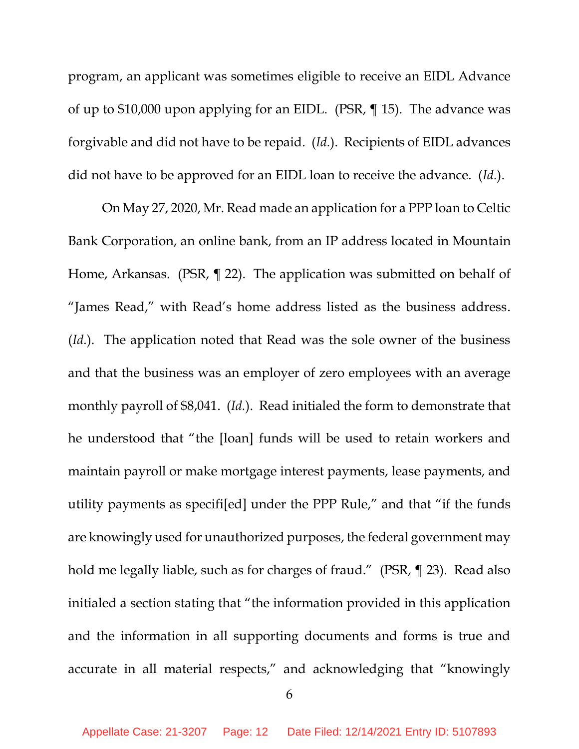program, an applicant was sometimes eligible to receive an EIDL Advance of up to \$10,000 upon applying for an EIDL. (PSR, ¶ 15). The advance was forgivable and did not have to be repaid. (*Id.*). Recipients of EIDL advances did not have to be approved for an EIDL loan to receive the advance. (*Id.*).

On May 27, 2020, Mr. Read made an application for a PPP loan to Celtic Bank Corporation, an online bank, from an IP address located in Mountain Home, Arkansas. (PSR, ¶ 22). The application was submitted on behalf of "James Read," with Read's home address listed as the business address. (*Id.*). The application noted that Read was the sole owner of the business and that the business was an employer of zero employees with an average monthly payroll of \$8,041. (*Id.*). Read initialed the form to demonstrate that he understood that "the [loan] funds will be used to retain workers and maintain payroll or make mortgage interest payments, lease payments, and utility payments as specifi[ed] under the PPP Rule," and that "if the funds are knowingly used for unauthorized purposes, the federal government may hold me legally liable, such as for charges of fraud." (PSR, ¶ 23). Read also initialed a section stating that "the information provided in this application and the information in all supporting documents and forms is true and accurate in all material respects," and acknowledging that "knowingly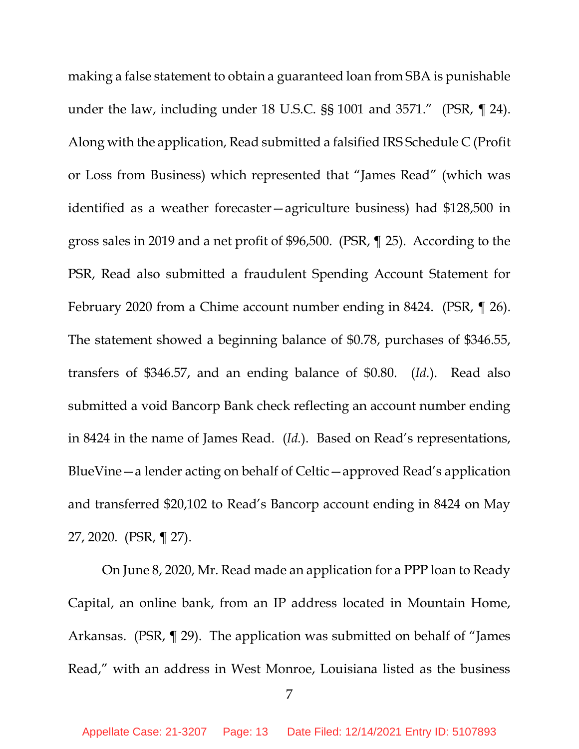making a false statement to obtain a guaranteed loan from SBA is punishable under the law, including under 18 U.S.C. §§ 1001 and 3571." (PSR, ¶ 24). Along with the application, Read submitted a falsified IRS Schedule C (Profit or Loss from Business) which represented that "James Read" (which was identified as a weather forecaster—agriculture business) had \$128,500 in gross sales in 2019 and a net profit of \$96,500. (PSR, ¶ 25). According to the PSR, Read also submitted a fraudulent Spending Account Statement for February 2020 from a Chime account number ending in 8424. (PSR, ¶ 26). The statement showed a beginning balance of \$0.78, purchases of \$346.55, transfers of \$346.57, and an ending balance of \$0.80. (*Id.*). Read also submitted a void Bancorp Bank check reflecting an account number ending in 8424 in the name of James Read. (*Id.*). Based on Read's representations, BlueVine—a lender acting on behalf of Celtic—approved Read's application and transferred \$20,102 to Read's Bancorp account ending in 8424 on May 27, 2020. (PSR, ¶ 27).

On June 8, 2020, Mr. Read made an application for a PPP loan to Ready Capital, an online bank, from an IP address located in Mountain Home, Arkansas. (PSR, ¶ 29). The application was submitted on behalf of "James Read," with an address in West Monroe, Louisiana listed as the business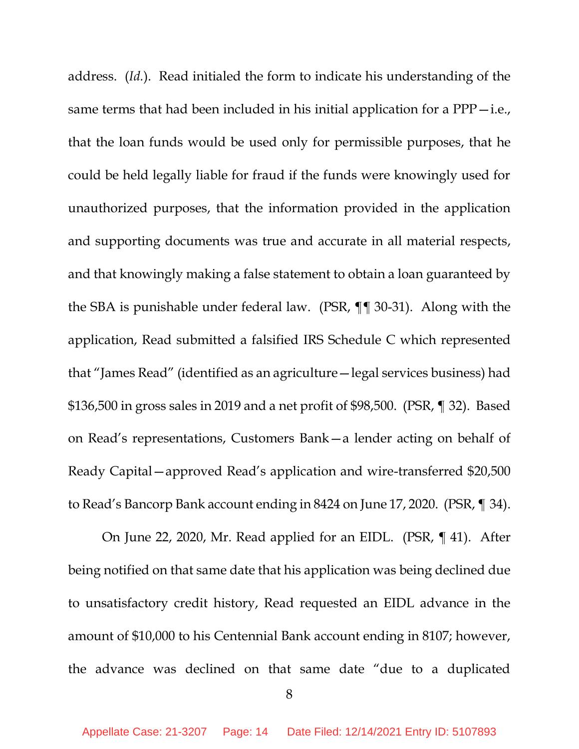address. (*Id.*). Read initialed the form to indicate his understanding of the same terms that had been included in his initial application for a  $PPP$  -i.e., that the loan funds would be used only for permissible purposes, that he could be held legally liable for fraud if the funds were knowingly used for unauthorized purposes, that the information provided in the application and supporting documents was true and accurate in all material respects, and that knowingly making a false statement to obtain a loan guaranteed by the SBA is punishable under federal law. (PSR, ¶¶ 30-31). Along with the application, Read submitted a falsified IRS Schedule C which represented that "James Read" (identified as an agriculture—legal services business) had \$136,500 in gross sales in 2019 and a net profit of \$98,500. (PSR, ¶ 32). Based on Read's representations, Customers Bank—a lender acting on behalf of Ready Capital—approved Read's application and wire-transferred \$20,500 to Read's Bancorp Bank account ending in 8424 on June 17, 2020. (PSR, ¶ 34).

On June 22, 2020, Mr. Read applied for an EIDL. (PSR, ¶ 41). After being notified on that same date that his application was being declined due to unsatisfactory credit history, Read requested an EIDL advance in the amount of \$10,000 to his Centennial Bank account ending in 8107; however, the advance was declined on that same date "due to a duplicated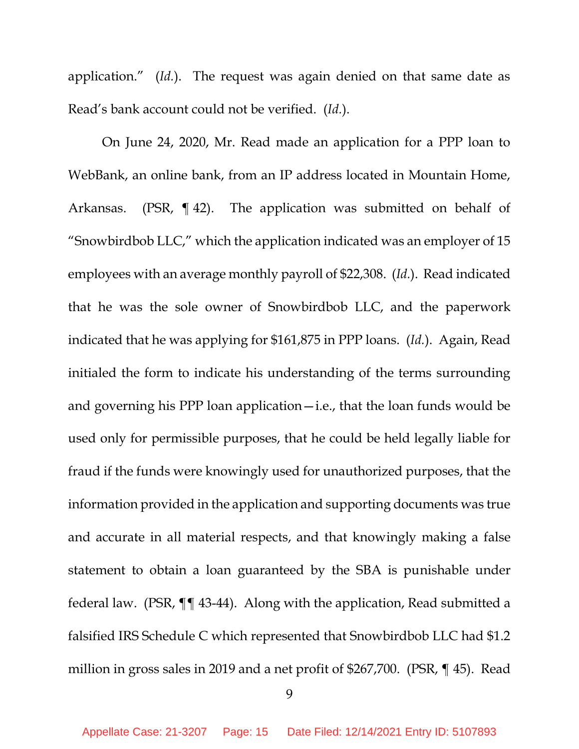application." (*Id.*). The request was again denied on that same date as Read's bank account could not be verified. (*Id.*).

On June 24, 2020, Mr. Read made an application for a PPP loan to WebBank, an online bank, from an IP address located in Mountain Home, Arkansas. (PSR, ¶ 42). The application was submitted on behalf of "Snowbirdbob LLC," which the application indicated was an employer of 15 employees with an average monthly payroll of \$22,308. (*Id.*). Read indicated that he was the sole owner of Snowbirdbob LLC, and the paperwork indicated that he was applying for \$161,875 in PPP loans. (*Id.*). Again, Read initialed the form to indicate his understanding of the terms surrounding and governing his PPP loan application—i.e., that the loan funds would be used only for permissible purposes, that he could be held legally liable for fraud if the funds were knowingly used for unauthorized purposes, that the information provided in the application and supporting documents was true and accurate in all material respects, and that knowingly making a false statement to obtain a loan guaranteed by the SBA is punishable under federal law. (PSR, ¶¶ 43-44). Along with the application, Read submitted a falsified IRS Schedule C which represented that Snowbirdbob LLC had \$1.2 million in gross sales in 2019 and a net profit of \$267,700. (PSR, ¶ 45). Read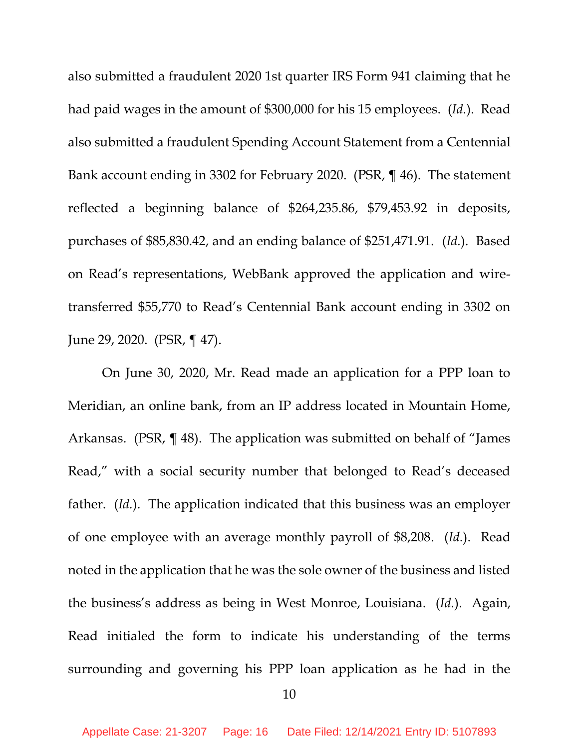also submitted a fraudulent 2020 1st quarter IRS Form 941 claiming that he had paid wages in the amount of \$300,000 for his 15 employees. (*Id.*). Read also submitted a fraudulent Spending Account Statement from a Centennial Bank account ending in 3302 for February 2020. (PSR, ¶ 46). The statement reflected a beginning balance of \$264,235.86, \$79,453.92 in deposits, purchases of \$85,830.42, and an ending balance of \$251,471.91. (*Id.*). Based on Read's representations, WebBank approved the application and wiretransferred \$55,770 to Read's Centennial Bank account ending in 3302 on June 29, 2020. (PSR, ¶ 47).

On June 30, 2020, Mr. Read made an application for a PPP loan to Meridian, an online bank, from an IP address located in Mountain Home, Arkansas. (PSR, ¶ 48). The application was submitted on behalf of "James Read," with a social security number that belonged to Read's deceased father. (*Id.*). The application indicated that this business was an employer of one employee with an average monthly payroll of \$8,208. (*Id.*). Read noted in the application that he was the sole owner of the business and listed the business's address as being in West Monroe, Louisiana. (*Id.*). Again, Read initialed the form to indicate his understanding of the terms surrounding and governing his PPP loan application as he had in the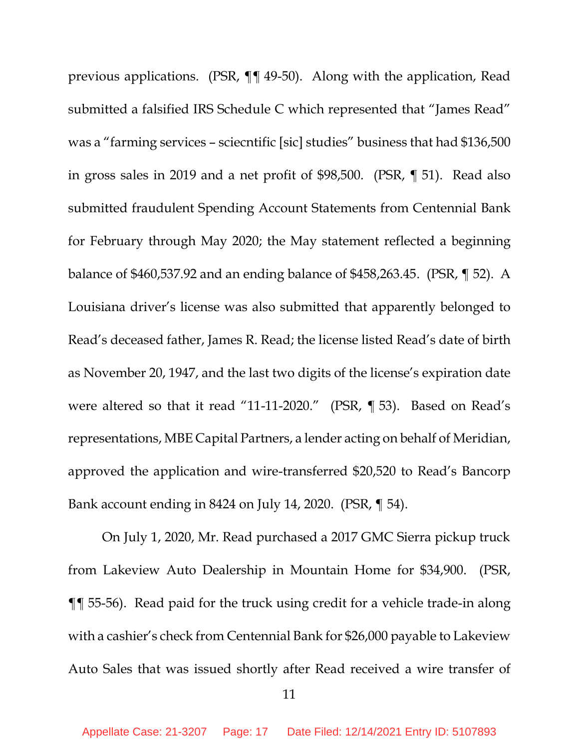previous applications. (PSR, ¶¶ 49-50). Along with the application, Read submitted a falsified IRS Schedule C which represented that "James Read" was a "farming services – sciecntific [sic] studies" business that had \$136,500 in gross sales in 2019 and a net profit of \$98,500. (PSR, ¶ 51). Read also submitted fraudulent Spending Account Statements from Centennial Bank for February through May 2020; the May statement reflected a beginning balance of \$460,537.92 and an ending balance of \$458,263.45. (PSR, ¶ 52). A Louisiana driver's license was also submitted that apparently belonged to Read's deceased father, James R. Read; the license listed Read's date of birth as November 20, 1947, and the last two digits of the license's expiration date were altered so that it read "11-11-2020." (PSR, ¶ 53). Based on Read's representations, MBE Capital Partners, a lender acting on behalf of Meridian, approved the application and wire-transferred \$20,520 to Read's Bancorp Bank account ending in 8424 on July 14, 2020. (PSR, ¶ 54).

On July 1, 2020, Mr. Read purchased a 2017 GMC Sierra pickup truck from Lakeview Auto Dealership in Mountain Home for \$34,900. (PSR, ¶¶ 55-56). Read paid for the truck using credit for a vehicle trade-in along with a cashier's check from Centennial Bank for \$26,000 payable to Lakeview Auto Sales that was issued shortly after Read received a wire transfer of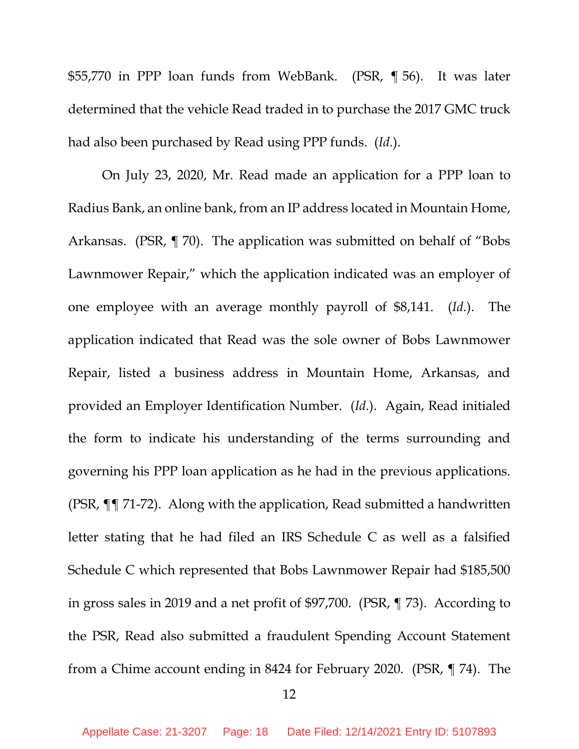\$55,770 in PPP loan funds from WebBank. (PSR, ¶ 56). It was later determined that the vehicle Read traded in to purchase the 2017 GMC truck had also been purchased by Read using PPP funds. (*Id.*).

On July 23, 2020, Mr. Read made an application for a PPP loan to Radius Bank, an online bank, from an IP address located in Mountain Home, Arkansas. (PSR, ¶ 70). The application was submitted on behalf of "Bobs Lawnmower Repair," which the application indicated was an employer of one employee with an average monthly payroll of \$8,141. (*Id.*). The application indicated that Read was the sole owner of Bobs Lawnmower Repair, listed a business address in Mountain Home, Arkansas, and provided an Employer Identification Number. (*Id.*). Again, Read initialed the form to indicate his understanding of the terms surrounding and governing his PPP loan application as he had in the previous applications. (PSR, ¶¶ 71-72). Along with the application, Read submitted a handwritten letter stating that he had filed an IRS Schedule C as well as a falsified Schedule C which represented that Bobs Lawnmower Repair had \$185,500 in gross sales in 2019 and a net profit of \$97,700. (PSR, ¶ 73). According to the PSR, Read also submitted a fraudulent Spending Account Statement from a Chime account ending in 8424 for February 2020. (PSR, ¶ 74). The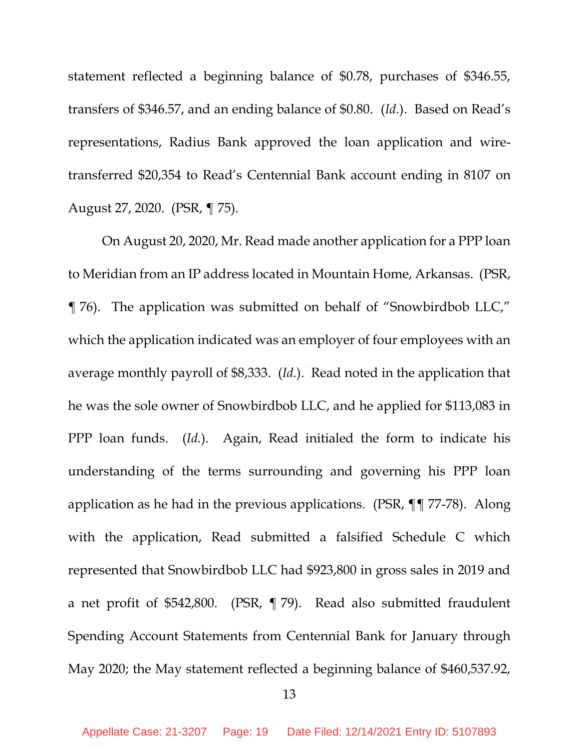statement reflected a beginning balance of \$0.78, purchases of \$346.55, transfers of \$346.57, and an ending balance of \$0.80. (*Id.*). Based on Read's representations, Radius Bank approved the loan application and wiretransferred \$20,354 to Read's Centennial Bank account ending in 8107 on August 27, 2020. (PSR, ¶ 75).

On August 20, 2020, Mr. Read made another application for a PPP loan to Meridian from an IP address located in Mountain Home, Arkansas. (PSR, ¶ 76). The application was submitted on behalf of "Snowbirdbob LLC," which the application indicated was an employer of four employees with an average monthly payroll of \$8,333. (*Id.*). Read noted in the application that he was the sole owner of Snowbirdbob LLC, and he applied for \$113,083 in PPP loan funds. (*Id.*). Again, Read initialed the form to indicate his understanding of the terms surrounding and governing his PPP loan application as he had in the previous applications. (PSR, ¶¶ 77-78). Along with the application, Read submitted a falsified Schedule C which represented that Snowbirdbob LLC had \$923,800 in gross sales in 2019 and a net profit of \$542,800. (PSR, ¶ 79). Read also submitted fraudulent Spending Account Statements from Centennial Bank for January through May 2020; the May statement reflected a beginning balance of \$460,537.92,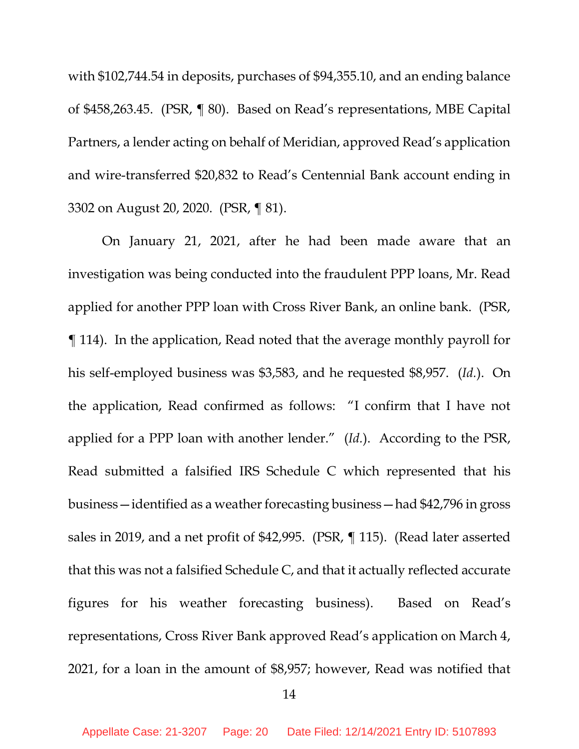with \$102,744.54 in deposits, purchases of \$94,355.10, and an ending balance of \$458,263.45. (PSR, ¶ 80). Based on Read's representations, MBE Capital Partners, a lender acting on behalf of Meridian, approved Read's application and wire-transferred \$20,832 to Read's Centennial Bank account ending in 3302 on August 20, 2020. (PSR, ¶ 81).

On January 21, 2021, after he had been made aware that an investigation was being conducted into the fraudulent PPP loans, Mr. Read applied for another PPP loan with Cross River Bank, an online bank. (PSR, ¶ 114). In the application, Read noted that the average monthly payroll for his self-employed business was \$3,583, and he requested \$8,957. (*Id.*). On the application, Read confirmed as follows: "I confirm that I have not applied for a PPP loan with another lender." (*Id.*). According to the PSR, Read submitted a falsified IRS Schedule C which represented that his business—identified as a weather forecasting business—had \$42,796 in gross sales in 2019, and a net profit of \$42,995. (PSR, ¶ 115). (Read later asserted that this was not a falsified Schedule C, and that it actually reflected accurate figures for his weather forecasting business). Based on Read's representations, Cross River Bank approved Read's application on March 4, 2021, for a loan in the amount of \$8,957; however, Read was notified that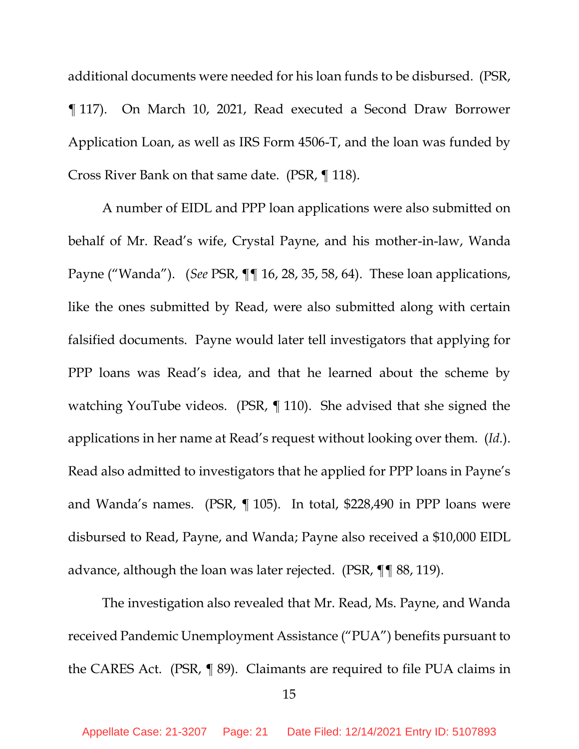additional documents were needed for his loan funds to be disbursed. (PSR, ¶ 117). On March 10, 2021, Read executed a Second Draw Borrower Application Loan, as well as IRS Form 4506-T, and the loan was funded by Cross River Bank on that same date. (PSR, ¶ 118).

A number of EIDL and PPP loan applications were also submitted on behalf of Mr. Read's wife, Crystal Payne, and his mother-in-law, Wanda Payne ("Wanda"). (*See* PSR, ¶¶ 16, 28, 35, 58, 64). These loan applications, like the ones submitted by Read, were also submitted along with certain falsified documents. Payne would later tell investigators that applying for PPP loans was Read's idea, and that he learned about the scheme by watching YouTube videos. (PSR, ¶ 110). She advised that she signed the applications in her name at Read's request without looking over them. (*Id.*). Read also admitted to investigators that he applied for PPP loans in Payne's and Wanda's names. (PSR, ¶ 105). In total, \$228,490 in PPP loans were disbursed to Read, Payne, and Wanda; Payne also received a \$10,000 EIDL advance, although the loan was later rejected. (PSR, ¶¶ 88, 119).

The investigation also revealed that Mr. Read, Ms. Payne, and Wanda received Pandemic Unemployment Assistance ("PUA") benefits pursuant to the CARES Act. (PSR, ¶ 89). Claimants are required to file PUA claims in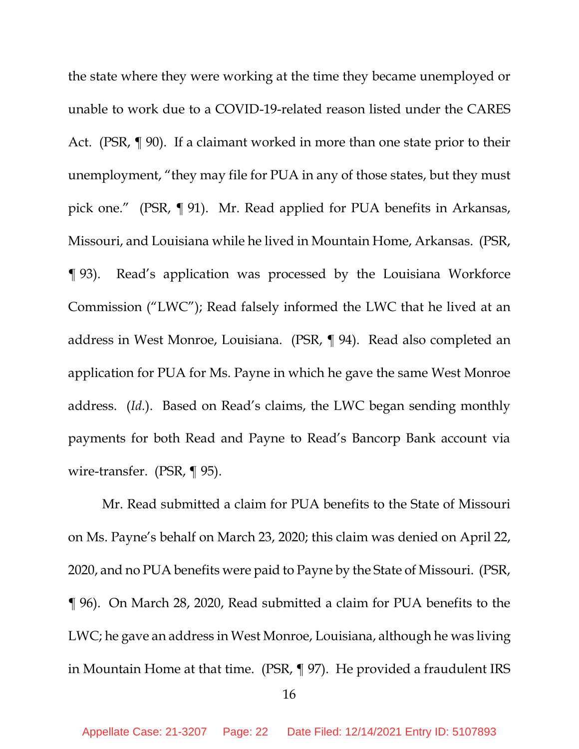the state where they were working at the time they became unemployed or unable to work due to a COVID-19-related reason listed under the CARES Act. (PSR, ¶ 90). If a claimant worked in more than one state prior to their unemployment, "they may file for PUA in any of those states, but they must pick one." (PSR, ¶ 91). Mr. Read applied for PUA benefits in Arkansas, Missouri, and Louisiana while he lived in Mountain Home, Arkansas. (PSR, ¶ 93). Read's application was processed by the Louisiana Workforce Commission ("LWC"); Read falsely informed the LWC that he lived at an address in West Monroe, Louisiana. (PSR, ¶ 94). Read also completed an application for PUA for Ms. Payne in which he gave the same West Monroe address. (*Id.*). Based on Read's claims, the LWC began sending monthly payments for both Read and Payne to Read's Bancorp Bank account via wire-transfer. (PSR, ¶ 95).

Mr. Read submitted a claim for PUA benefits to the State of Missouri on Ms. Payne's behalf on March 23, 2020; this claim was denied on April 22, 2020, and no PUA benefits were paid to Payne by the State of Missouri. (PSR, ¶ 96). On March 28, 2020, Read submitted a claim for PUA benefits to the LWC; he gave an address in West Monroe, Louisiana, although he was living in Mountain Home at that time. (PSR, ¶ 97). He provided a fraudulent IRS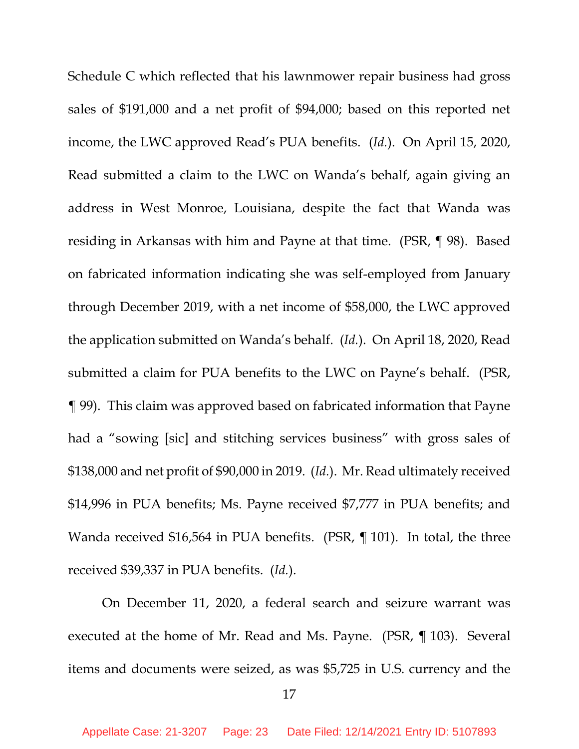Schedule C which reflected that his lawnmower repair business had gross sales of \$191,000 and a net profit of \$94,000; based on this reported net income, the LWC approved Read's PUA benefits. (*Id.*). On April 15, 2020, Read submitted a claim to the LWC on Wanda's behalf, again giving an address in West Monroe, Louisiana, despite the fact that Wanda was residing in Arkansas with him and Payne at that time. (PSR, ¶ 98). Based on fabricated information indicating she was self-employed from January through December 2019, with a net income of \$58,000, the LWC approved the application submitted on Wanda's behalf. (*Id.*). On April 18, 2020, Read submitted a claim for PUA benefits to the LWC on Payne's behalf. (PSR, ¶ 99). This claim was approved based on fabricated information that Payne had a "sowing [sic] and stitching services business" with gross sales of \$138,000 and net profit of \$90,000 in 2019. (*Id.*). Mr. Read ultimately received \$14,996 in PUA benefits; Ms. Payne received \$7,777 in PUA benefits; and Wanda received \$16,564 in PUA benefits. (PSR, ¶ 101). In total, the three received \$39,337 in PUA benefits. (*Id.*).

On December 11, 2020, a federal search and seizure warrant was executed at the home of Mr. Read and Ms. Payne. (PSR, ¶ 103). Several items and documents were seized, as was \$5,725 in U.S. currency and the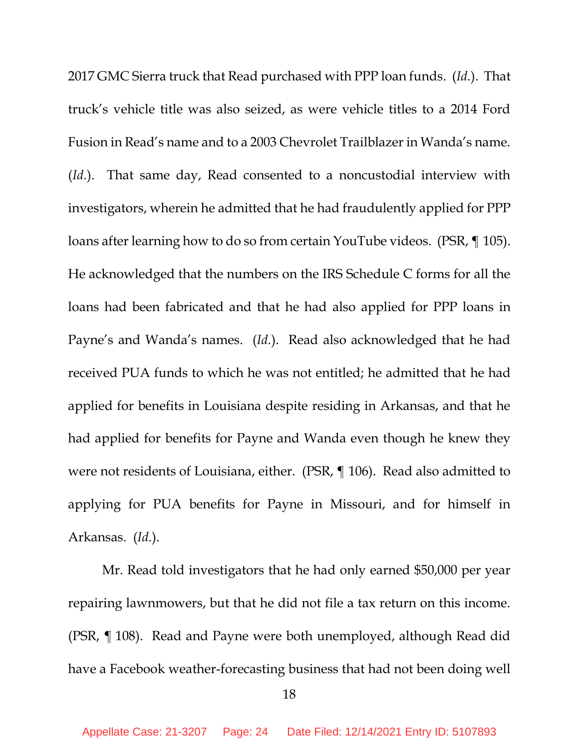2017 GMC Sierra truck that Read purchased with PPP loan funds. (*Id.*). That truck's vehicle title was also seized, as were vehicle titles to a 2014 Ford Fusion in Read's name and to a 2003 Chevrolet Trailblazer in Wanda's name. (*Id.*). That same day, Read consented to a noncustodial interview with investigators, wherein he admitted that he had fraudulently applied for PPP loans after learning how to do so from certain YouTube videos. (PSR, ¶ 105). He acknowledged that the numbers on the IRS Schedule C forms for all the loans had been fabricated and that he had also applied for PPP loans in Payne's and Wanda's names. (*Id.*). Read also acknowledged that he had received PUA funds to which he was not entitled; he admitted that he had applied for benefits in Louisiana despite residing in Arkansas, and that he had applied for benefits for Payne and Wanda even though he knew they were not residents of Louisiana, either. (PSR, ¶ 106). Read also admitted to applying for PUA benefits for Payne in Missouri, and for himself in Arkansas. (*Id.*).

Mr. Read told investigators that he had only earned \$50,000 per year repairing lawnmowers, but that he did not file a tax return on this income. (PSR, ¶ 108). Read and Payne were both unemployed, although Read did have a Facebook weather-forecasting business that had not been doing well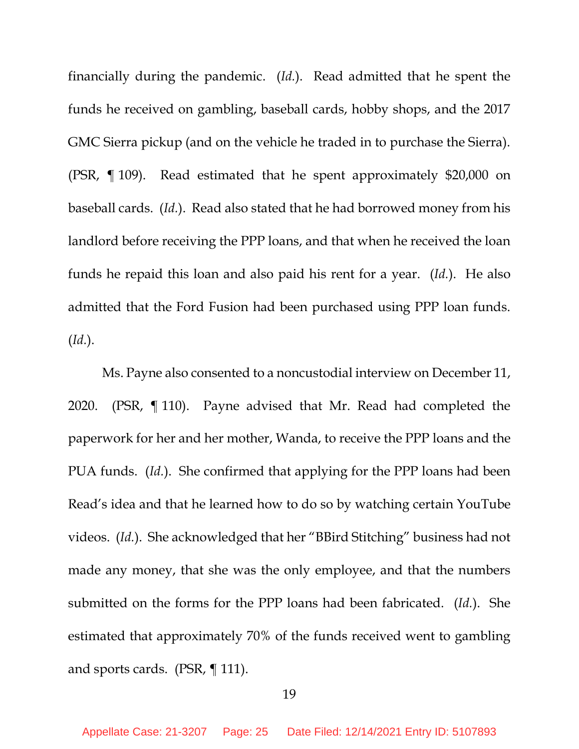financially during the pandemic. (*Id.*). Read admitted that he spent the funds he received on gambling, baseball cards, hobby shops, and the 2017 GMC Sierra pickup (and on the vehicle he traded in to purchase the Sierra). (PSR, ¶ 109). Read estimated that he spent approximately \$20,000 on baseball cards. (*Id.*). Read also stated that he had borrowed money from his landlord before receiving the PPP loans, and that when he received the loan funds he repaid this loan and also paid his rent for a year. (*Id.*). He also admitted that the Ford Fusion had been purchased using PPP loan funds. (*Id.*).

Ms. Payne also consented to a noncustodial interview on December 11, 2020. (PSR, ¶ 110). Payne advised that Mr. Read had completed the paperwork for her and her mother, Wanda, to receive the PPP loans and the PUA funds. (*Id.*). She confirmed that applying for the PPP loans had been Read's idea and that he learned how to do so by watching certain YouTube videos. (*Id.*). She acknowledged that her "BBird Stitching" business had not made any money, that she was the only employee, and that the numbers submitted on the forms for the PPP loans had been fabricated. (*Id.*). She estimated that approximately 70% of the funds received went to gambling and sports cards. (PSR, ¶ 111).

#### 19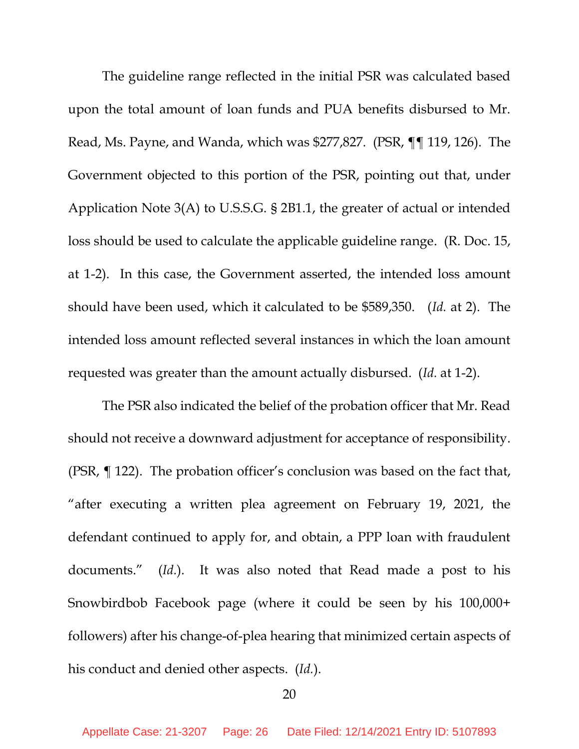The guideline range reflected in the initial PSR was calculated based upon the total amount of loan funds and PUA benefits disbursed to Mr. Read, Ms. Payne, and Wanda, which was \$277,827. (PSR, ¶¶ 119, 126). The Government objected to this portion of the PSR, pointing out that, under Application Note 3(A) to U.S.S.G. § 2B1.1, the greater of actual or intended loss should be used to calculate the applicable guideline range. (R. Doc. 15, at 1-2). In this case, the Government asserted, the intended loss amount should have been used, which it calculated to be \$589,350. (*Id.* at 2). The intended loss amount reflected several instances in which the loan amount requested was greater than the amount actually disbursed. (*Id.* at 1-2).

The PSR also indicated the belief of the probation officer that Mr. Read should not receive a downward adjustment for acceptance of responsibility. (PSR, ¶ 122). The probation officer's conclusion was based on the fact that, "after executing a written plea agreement on February 19, 2021, the defendant continued to apply for, and obtain, a PPP loan with fraudulent documents." (*Id.*). It was also noted that Read made a post to his Snowbirdbob Facebook page (where it could be seen by his 100,000+ followers) after his change-of-plea hearing that minimized certain aspects of his conduct and denied other aspects. (*Id.*).

#### 20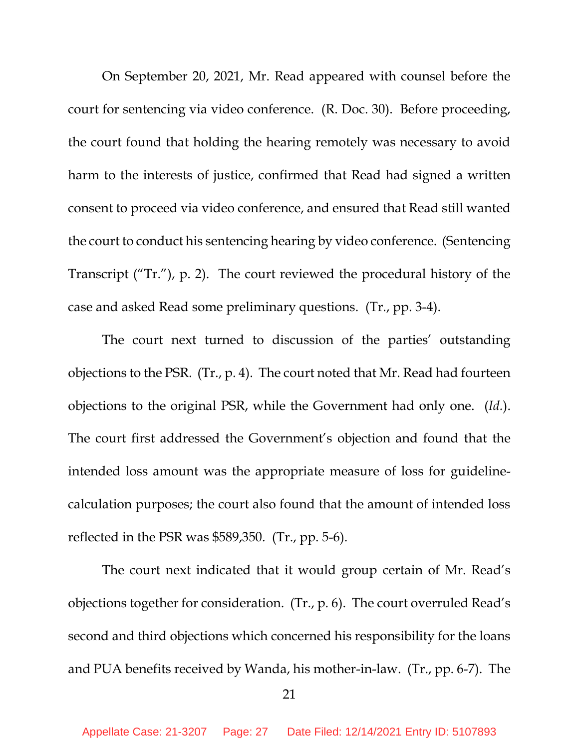On September 20, 2021, Mr. Read appeared with counsel before the court for sentencing via video conference. (R. Doc. 30). Before proceeding, the court found that holding the hearing remotely was necessary to avoid harm to the interests of justice, confirmed that Read had signed a written consent to proceed via video conference, and ensured that Read still wanted the court to conduct his sentencing hearing by video conference. (Sentencing Transcript ("Tr."), p. 2). The court reviewed the procedural history of the case and asked Read some preliminary questions. (Tr., pp. 3-4).

The court next turned to discussion of the parties' outstanding objections to the PSR. (Tr., p. 4). The court noted that Mr. Read had fourteen objections to the original PSR, while the Government had only one. (*Id.*). The court first addressed the Government's objection and found that the intended loss amount was the appropriate measure of loss for guidelinecalculation purposes; the court also found that the amount of intended loss reflected in the PSR was \$589,350. (Tr., pp. 5-6).

The court next indicated that it would group certain of Mr. Read's objections together for consideration. (Tr., p. 6). The court overruled Read's second and third objections which concerned his responsibility for the loans and PUA benefits received by Wanda, his mother-in-law. (Tr., pp. 6-7). The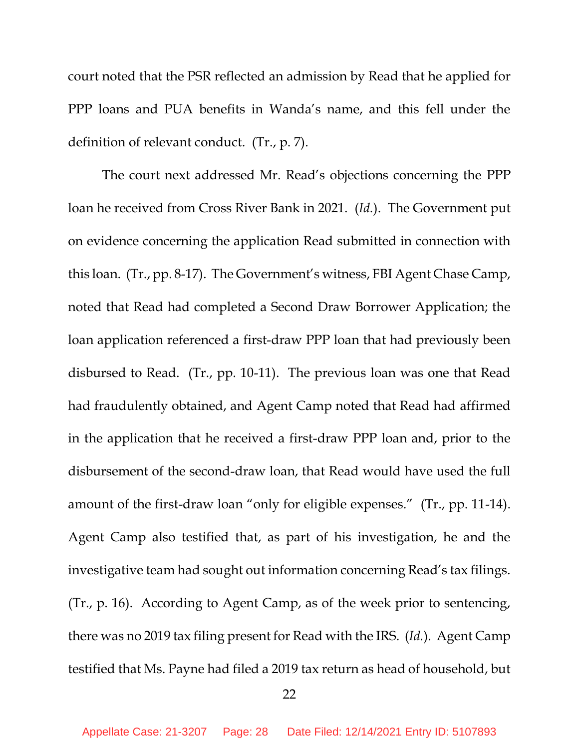court noted that the PSR reflected an admission by Read that he applied for PPP loans and PUA benefits in Wanda's name, and this fell under the definition of relevant conduct. (Tr., p. 7).

The court next addressed Mr. Read's objections concerning the PPP loan he received from Cross River Bank in 2021. (*Id.*). The Government put on evidence concerning the application Read submitted in connection with this loan. (Tr., pp. 8-17). The Government's witness, FBI Agent Chase Camp, noted that Read had completed a Second Draw Borrower Application; the loan application referenced a first-draw PPP loan that had previously been disbursed to Read. (Tr., pp. 10-11). The previous loan was one that Read had fraudulently obtained, and Agent Camp noted that Read had affirmed in the application that he received a first-draw PPP loan and, prior to the disbursement of the second-draw loan, that Read would have used the full amount of the first-draw loan "only for eligible expenses." (Tr., pp. 11-14). Agent Camp also testified that, as part of his investigation, he and the investigative team had sought out information concerning Read's tax filings. (Tr., p. 16). According to Agent Camp, as of the week prior to sentencing, there was no 2019 tax filing present for Read with the IRS. (*Id.*). Agent Camp testified that Ms. Payne had filed a 2019 tax return as head of household, but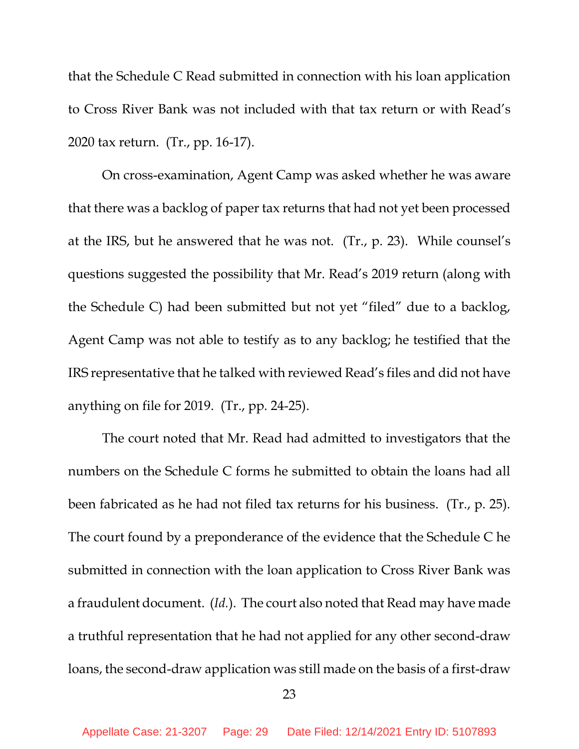that the Schedule C Read submitted in connection with his loan application to Cross River Bank was not included with that tax return or with Read's 2020 tax return. (Tr., pp. 16-17).

On cross-examination, Agent Camp was asked whether he was aware that there was a backlog of paper tax returns that had not yet been processed at the IRS, but he answered that he was not. (Tr., p. 23). While counsel's questions suggested the possibility that Mr. Read's 2019 return (along with the Schedule C) had been submitted but not yet "filed" due to a backlog, Agent Camp was not able to testify as to any backlog; he testified that the IRS representative that he talked with reviewed Read's files and did not have anything on file for 2019. (Tr., pp. 24-25).

The court noted that Mr. Read had admitted to investigators that the numbers on the Schedule C forms he submitted to obtain the loans had all been fabricated as he had not filed tax returns for his business. (Tr., p. 25). The court found by a preponderance of the evidence that the Schedule C he submitted in connection with the loan application to Cross River Bank was a fraudulent document. (*Id.*). The court also noted that Read may have made a truthful representation that he had not applied for any other second-draw loans, the second-draw application was still made on the basis of a first-draw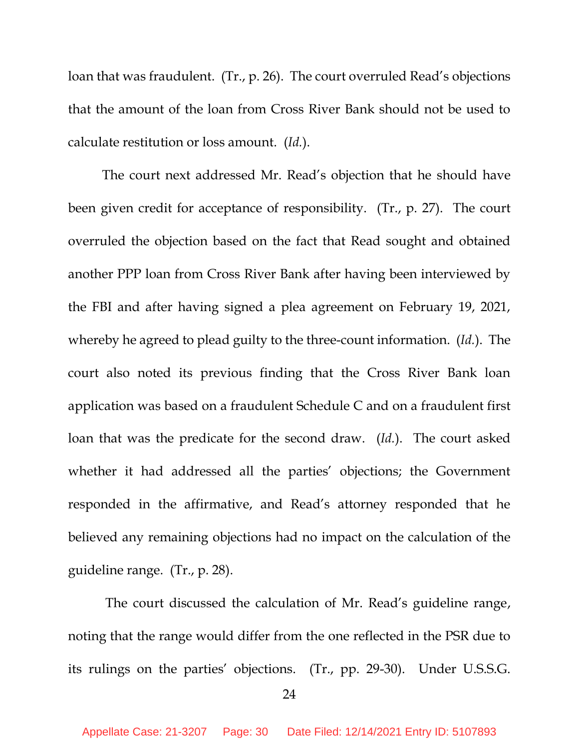loan that was fraudulent. (Tr., p. 26). The court overruled Read's objections that the amount of the loan from Cross River Bank should not be used to calculate restitution or loss amount. (*Id.*).

The court next addressed Mr. Read's objection that he should have been given credit for acceptance of responsibility. (Tr., p. 27). The court overruled the objection based on the fact that Read sought and obtained another PPP loan from Cross River Bank after having been interviewed by the FBI and after having signed a plea agreement on February 19, 2021, whereby he agreed to plead guilty to the three-count information. (*Id.*). The court also noted its previous finding that the Cross River Bank loan application was based on a fraudulent Schedule C and on a fraudulent first loan that was the predicate for the second draw. (*Id.*). The court asked whether it had addressed all the parties' objections; the Government responded in the affirmative, and Read's attorney responded that he believed any remaining objections had no impact on the calculation of the guideline range. (Tr., p. 28).

The court discussed the calculation of Mr. Read's guideline range, noting that the range would differ from the one reflected in the PSR due to its rulings on the parties' objections. (Tr., pp. 29-30). Under U.S.S.G.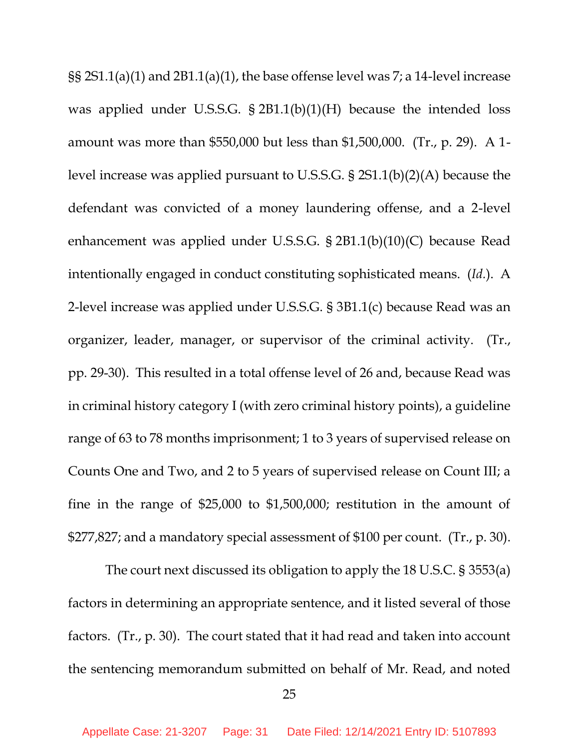§§ 2S1.1(a)(1) and 2B1.1(a)(1), the base offense level was 7; a 14-level increase was applied under U.S.S.G. § 2B1.1(b)(1)(H) because the intended loss amount was more than \$550,000 but less than \$1,500,000. (Tr., p. 29). A 1 level increase was applied pursuant to U.S.S.G. § 2S1.1(b)(2)(A) because the defendant was convicted of a money laundering offense, and a 2-level enhancement was applied under U.S.S.G. § 2B1.1(b)(10)(C) because Read intentionally engaged in conduct constituting sophisticated means. (*Id.*). A 2-level increase was applied under U.S.S.G. § 3B1.1(c) because Read was an organizer, leader, manager, or supervisor of the criminal activity. (Tr., pp. 29-30). This resulted in a total offense level of 26 and, because Read was in criminal history category I (with zero criminal history points), a guideline range of 63 to 78 months imprisonment; 1 to 3 years of supervised release on Counts One and Two, and 2 to 5 years of supervised release on Count III; a fine in the range of \$25,000 to \$1,500,000; restitution in the amount of \$277,827; and a mandatory special assessment of \$100 per count. (Tr., p. 30).

The court next discussed its obligation to apply the 18 U.S.C. § 3553(a) factors in determining an appropriate sentence, and it listed several of those factors. (Tr., p. 30). The court stated that it had read and taken into account the sentencing memorandum submitted on behalf of Mr. Read, and noted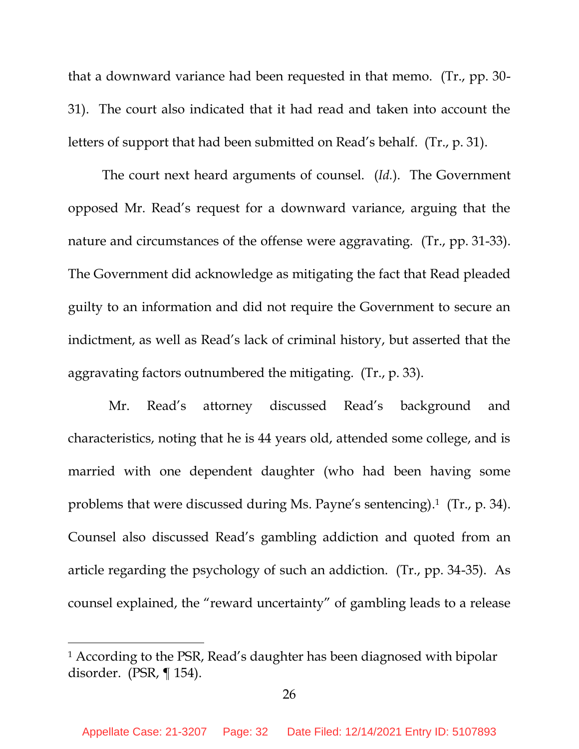that a downward variance had been requested in that memo. (Tr., pp. 30- 31). The court also indicated that it had read and taken into account the letters of support that had been submitted on Read's behalf. (Tr., p. 31).

The court next heard arguments of counsel. (*Id.*). The Government opposed Mr. Read's request for a downward variance, arguing that the nature and circumstances of the offense were aggravating. (Tr., pp. 31-33). The Government did acknowledge as mitigating the fact that Read pleaded guilty to an information and did not require the Government to secure an indictment, as well as Read's lack of criminal history, but asserted that the aggravating factors outnumbered the mitigating. (Tr., p. 33).

 Mr. Read's attorney discussed Read's background and characteristics, noting that he is 44 years old, attended some college, and is married with one dependent daughter (who had been having some problems that were discussed during Ms. Payne's sentencing). 1 (Tr., p. 34). Counsel also discussed Read's gambling addiction and quoted from an article regarding the psychology of such an addiction. (Tr., pp. 34-35). As counsel explained, the "reward uncertainty" of gambling leads to a release

<sup>&</sup>lt;sup>1</sup> According to the PSR, Read's daughter has been diagnosed with bipolar disorder. (PSR, ¶ 154).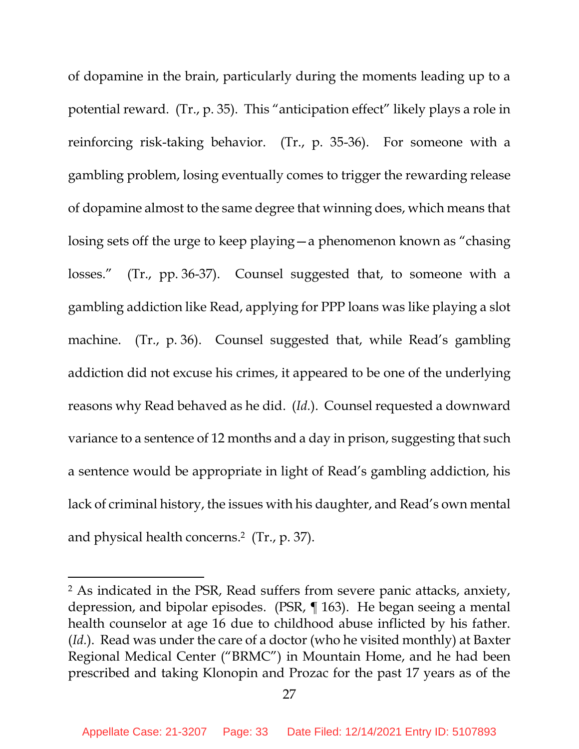of dopamine in the brain, particularly during the moments leading up to a potential reward. (Tr., p. 35). This "anticipation effect" likely plays a role in reinforcing risk-taking behavior. (Tr., p. 35-36). For someone with a gambling problem, losing eventually comes to trigger the rewarding release of dopamine almost to the same degree that winning does, which means that losing sets off the urge to keep playing—a phenomenon known as "chasing losses." (Tr., pp. 36-37). Counsel suggested that, to someone with a gambling addiction like Read, applying for PPP loans was like playing a slot machine. (Tr., p. 36). Counsel suggested that, while Read's gambling addiction did not excuse his crimes, it appeared to be one of the underlying reasons why Read behaved as he did. (*Id.*). Counsel requested a downward variance to a sentence of 12 months and a day in prison, suggesting that such a sentence would be appropriate in light of Read's gambling addiction, his lack of criminal history, the issues with his daughter, and Read's own mental and physical health concerns. 2 (Tr., p. 37).

<sup>2</sup> As indicated in the PSR, Read suffers from severe panic attacks, anxiety, depression, and bipolar episodes. (PSR, ¶ 163). He began seeing a mental health counselor at age 16 due to childhood abuse inflicted by his father. (*Id.*). Read was under the care of a doctor (who he visited monthly) at Baxter Regional Medical Center ("BRMC") in Mountain Home, and he had been prescribed and taking Klonopin and Prozac for the past 17 years as of the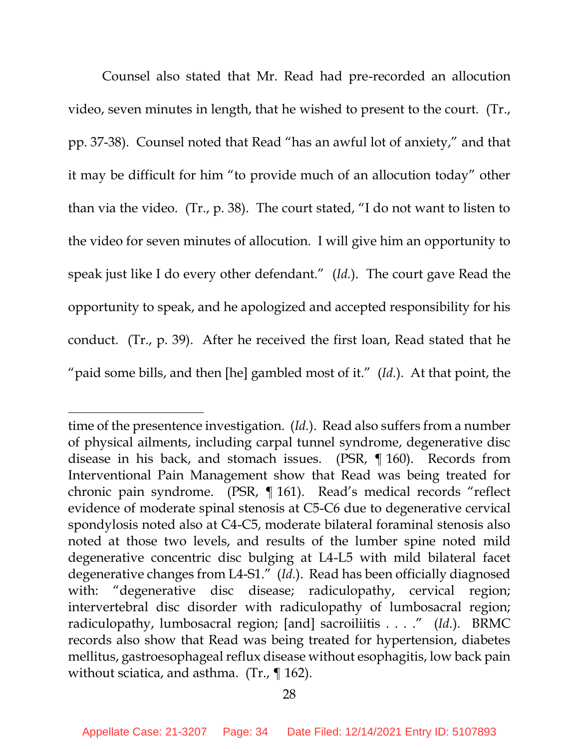Counsel also stated that Mr. Read had pre-recorded an allocution video, seven minutes in length, that he wished to present to the court. (Tr., pp. 37-38). Counsel noted that Read "has an awful lot of anxiety," and that it may be difficult for him "to provide much of an allocution today" other than via the video. (Tr., p. 38). The court stated, "I do not want to listen to the video for seven minutes of allocution. I will give him an opportunity to speak just like I do every other defendant." (*Id.*). The court gave Read the opportunity to speak, and he apologized and accepted responsibility for his conduct. (Tr., p. 39). After he received the first loan, Read stated that he "paid some bills, and then [he] gambled most of it." (*Id.*). At that point, the

time of the presentence investigation. (*Id.*). Read also suffers from a number of physical ailments, including carpal tunnel syndrome, degenerative disc disease in his back, and stomach issues. (PSR, ¶ 160). Records from Interventional Pain Management show that Read was being treated for chronic pain syndrome. (PSR, ¶ 161). Read's medical records "reflect evidence of moderate spinal stenosis at C5-C6 due to degenerative cervical spondylosis noted also at C4-C5, moderate bilateral foraminal stenosis also noted at those two levels, and results of the lumber spine noted mild degenerative concentric disc bulging at L4-L5 with mild bilateral facet degenerative changes from L4-S1." (*Id.*). Read has been officially diagnosed with: "degenerative disc disease; radiculopathy, cervical region; intervertebral disc disorder with radiculopathy of lumbosacral region; radiculopathy, lumbosacral region; [and] sacroiliitis . . . ." (*Id.*). BRMC records also show that Read was being treated for hypertension, diabetes mellitus, gastroesophageal reflux disease without esophagitis, low back pain without sciatica, and asthma. (Tr., ¶ 162).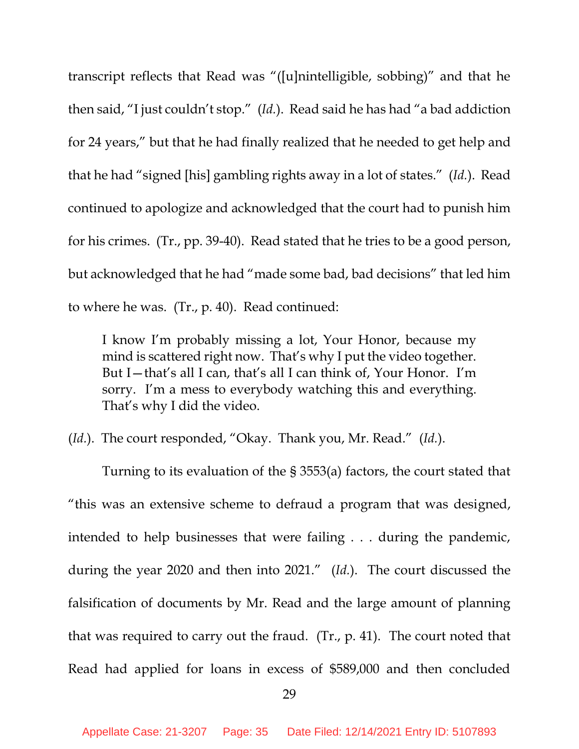transcript reflects that Read was "([u]nintelligible, sobbing)" and that he then said, "I just couldn't stop." (*Id.*). Read said he has had "a bad addiction for 24 years," but that he had finally realized that he needed to get help and that he had "signed [his] gambling rights away in a lot of states." (*Id.*). Read continued to apologize and acknowledged that the court had to punish him for his crimes. (Tr., pp. 39-40). Read stated that he tries to be a good person, but acknowledged that he had "made some bad, bad decisions" that led him to where he was. (Tr., p. 40). Read continued:

I know I'm probably missing a lot, Your Honor, because my mind is scattered right now. That's why I put the video together. But I—that's all I can, that's all I can think of, Your Honor. I'm sorry. I'm a mess to everybody watching this and everything. That's why I did the video.

(*Id.*). The court responded, "Okay. Thank you, Mr. Read." (*Id.*).

Turning to its evaluation of the § 3553(a) factors, the court stated that "this was an extensive scheme to defraud a program that was designed, intended to help businesses that were failing . . . during the pandemic, during the year 2020 and then into 2021." (*Id.*). The court discussed the falsification of documents by Mr. Read and the large amount of planning that was required to carry out the fraud. (Tr., p. 41). The court noted that Read had applied for loans in excess of \$589,000 and then concluded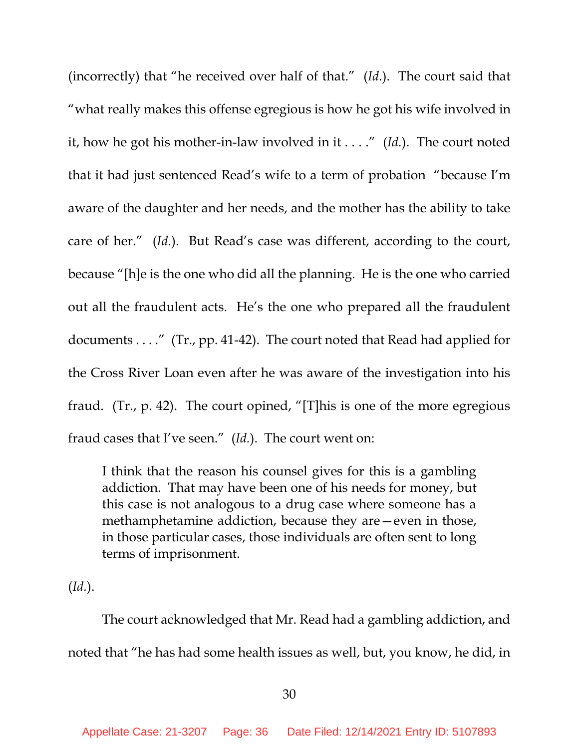(incorrectly) that "he received over half of that." (*Id.*). The court said that "what really makes this offense egregious is how he got his wife involved in it, how he got his mother-in-law involved in it . . . ." (*Id.*). The court noted that it had just sentenced Read's wife to a term of probation "because I'm aware of the daughter and her needs, and the mother has the ability to take care of her." (*Id.*). But Read's case was different, according to the court, because "[h]e is the one who did all the planning. He is the one who carried out all the fraudulent acts. He's the one who prepared all the fraudulent documents . . . ." (Tr., pp. 41-42). The court noted that Read had applied for the Cross River Loan even after he was aware of the investigation into his fraud. (Tr., p. 42). The court opined, "[T]his is one of the more egregious fraud cases that I've seen." (*Id.*). The court went on:

I think that the reason his counsel gives for this is a gambling addiction. That may have been one of his needs for money, but this case is not analogous to a drug case where someone has a methamphetamine addiction, because they are—even in those, in those particular cases, those individuals are often sent to long terms of imprisonment.

(*Id.*).

The court acknowledged that Mr. Read had a gambling addiction, and noted that "he has had some health issues as well, but, you know, he did, in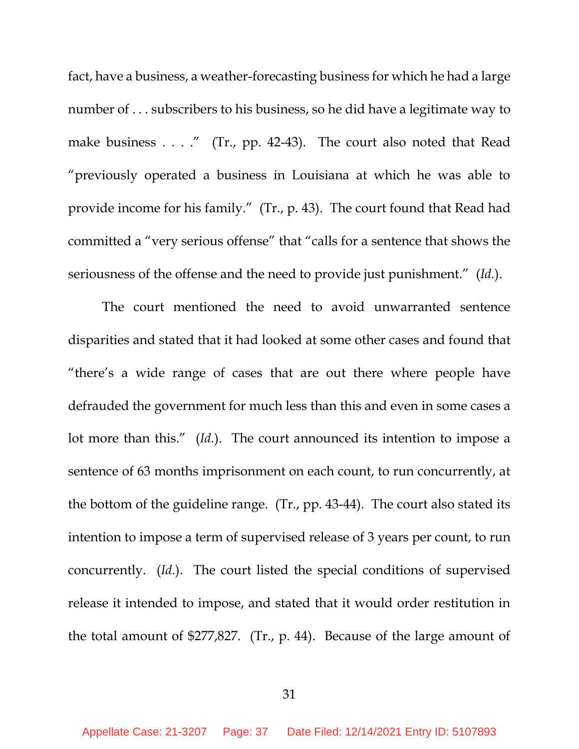fact, have a business, a weather-forecasting business for which he had a large number of . . . subscribers to his business, so he did have a legitimate way to make business . . . ." (Tr., pp. 42-43). The court also noted that Read "previously operated a business in Louisiana at which he was able to provide income for his family." (Tr., p. 43). The court found that Read had committed a "very serious offense" that "calls for a sentence that shows the seriousness of the offense and the need to provide just punishment." (*Id.*).

The court mentioned the need to avoid unwarranted sentence disparities and stated that it had looked at some other cases and found that "there's a wide range of cases that are out there where people have defrauded the government for much less than this and even in some cases a lot more than this." (*Id.*). The court announced its intention to impose a sentence of 63 months imprisonment on each count, to run concurrently, at the bottom of the guideline range. (Tr., pp. 43-44). The court also stated its intention to impose a term of supervised release of 3 years per count, to run concurrently. (*Id.*). The court listed the special conditions of supervised release it intended to impose, and stated that it would order restitution in the total amount of \$277,827. (Tr., p. 44). Because of the large amount of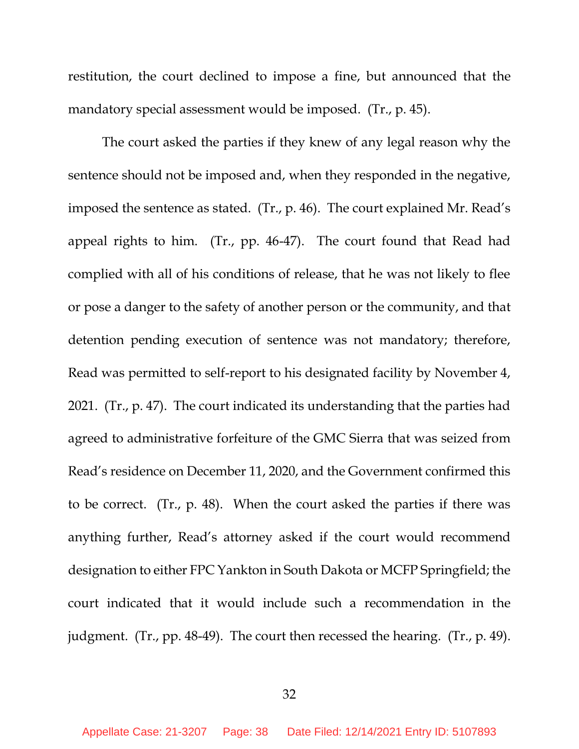restitution, the court declined to impose a fine, but announced that the mandatory special assessment would be imposed. (Tr., p. 45).

The court asked the parties if they knew of any legal reason why the sentence should not be imposed and, when they responded in the negative, imposed the sentence as stated. (Tr., p. 46). The court explained Mr. Read's appeal rights to him. (Tr., pp. 46-47). The court found that Read had complied with all of his conditions of release, that he was not likely to flee or pose a danger to the safety of another person or the community, and that detention pending execution of sentence was not mandatory; therefore, Read was permitted to self-report to his designated facility by November 4, 2021. (Tr., p. 47). The court indicated its understanding that the parties had agreed to administrative forfeiture of the GMC Sierra that was seized from Read's residence on December 11, 2020, and the Government confirmed this to be correct. (Tr., p. 48). When the court asked the parties if there was anything further, Read's attorney asked if the court would recommend designation to either FPC Yankton in South Dakota or MCFP Springfield; the court indicated that it would include such a recommendation in the judgment. (Tr., pp. 48-49). The court then recessed the hearing. (Tr., p. 49).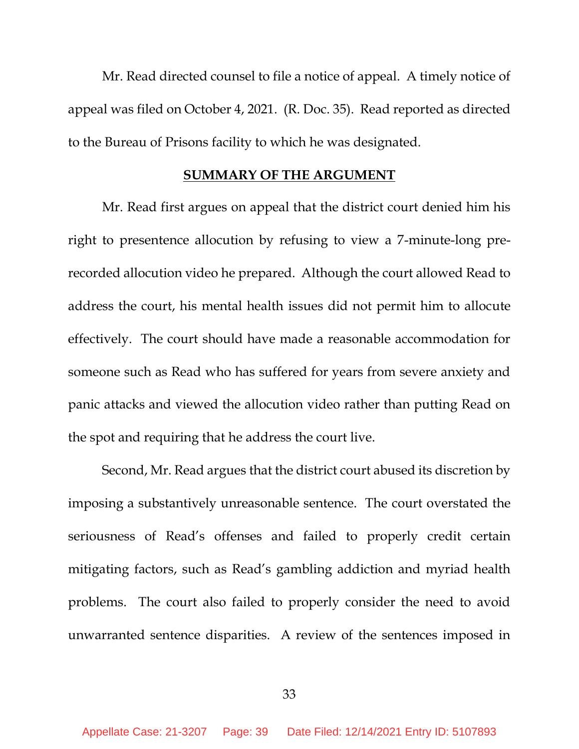Mr. Read directed counsel to file a notice of appeal. A timely notice of appeal was filed on October 4, 2021. (R. Doc. 35). Read reported as directed to the Bureau of Prisons facility to which he was designated.

#### **SUMMARY OF THE ARGUMENT**

Mr. Read first argues on appeal that the district court denied him his right to presentence allocution by refusing to view a 7-minute-long prerecorded allocution video he prepared. Although the court allowed Read to address the court, his mental health issues did not permit him to allocute effectively. The court should have made a reasonable accommodation for someone such as Read who has suffered for years from severe anxiety and panic attacks and viewed the allocution video rather than putting Read on the spot and requiring that he address the court live.

Second, Mr. Read argues that the district court abused its discretion by imposing a substantively unreasonable sentence. The court overstated the seriousness of Read's offenses and failed to properly credit certain mitigating factors, such as Read's gambling addiction and myriad health problems. The court also failed to properly consider the need to avoid unwarranted sentence disparities. A review of the sentences imposed in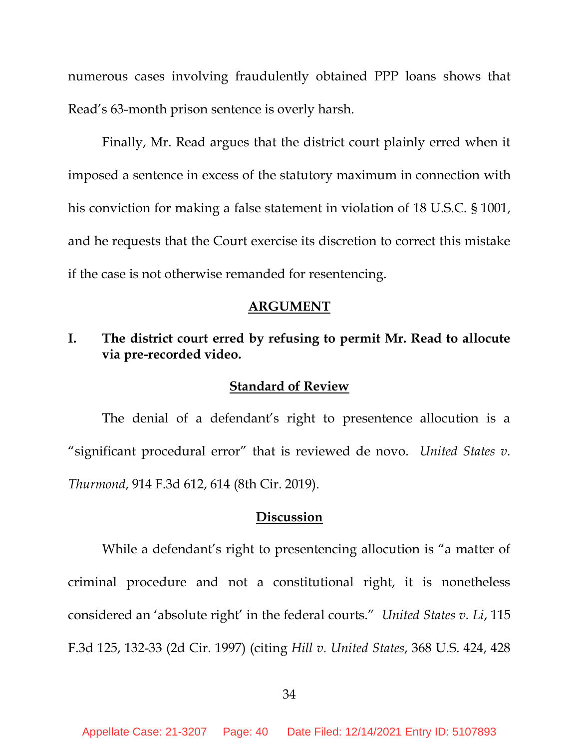numerous cases involving fraudulently obtained PPP loans shows that Read's 63-month prison sentence is overly harsh.

Finally, Mr. Read argues that the district court plainly erred when it imposed a sentence in excess of the statutory maximum in connection with his conviction for making a false statement in violation of 18 U.S.C. § 1001, and he requests that the Court exercise its discretion to correct this mistake if the case is not otherwise remanded for resentencing.

#### **ARGUMENT**

### **I. The district court erred by refusing to permit Mr. Read to allocute via pre-recorded video.**

#### **Standard of Review**

The denial of a defendant's right to presentence allocution is a "significant procedural error" that is reviewed de novo. *United States v. Thurmond*, 914 F.3d 612, 614 (8th Cir. 2019).

#### **Discussion**

While a defendant's right to presentencing allocution is "a matter of criminal procedure and not a constitutional right, it is nonetheless considered an 'absolute right' in the federal courts." *United States v. Li*, 115 F.3d 125, 132-33 (2d Cir. 1997) (citing *Hill v. United States*, 368 U.S. 424, 428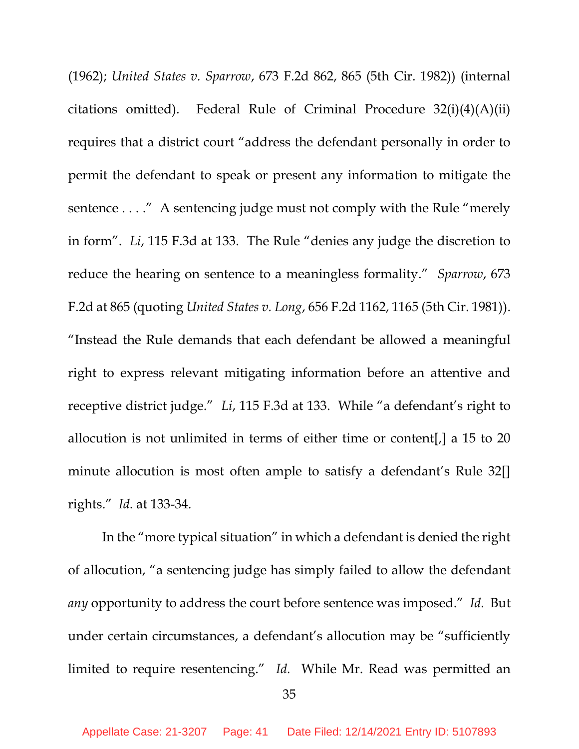(1962); *United States v. Sparrow*, 673 F.2d 862, 865 (5th Cir. 1982)) (internal citations omitted). Federal Rule of Criminal Procedure 32(i)(4)(A)(ii) requires that a district court "address the defendant personally in order to permit the defendant to speak or present any information to mitigate the sentence . . . ." A sentencing judge must not comply with the Rule "merely in form". *Li*, 115 F.3d at 133. The Rule "denies any judge the discretion to reduce the hearing on sentence to a meaningless formality." *Sparrow*, 673 F.2d at 865 (quoting *United States v. Long*, 656 F.2d 1162, 1165 (5th Cir. 1981)). "Instead the Rule demands that each defendant be allowed a meaningful right to express relevant mitigating information before an attentive and receptive district judge." *Li*, 115 F.3d at 133. While "a defendant's right to allocution is not unlimited in terms of either time or content[,] a 15 to 20 minute allocution is most often ample to satisfy a defendant's Rule 32[] rights." *Id.* at 133-34.

In the "more typical situation" in which a defendant is denied the right of allocution, "a sentencing judge has simply failed to allow the defendant *any* opportunity to address the court before sentence was imposed." *Id.* But under certain circumstances, a defendant's allocution may be "sufficiently limited to require resentencing." *Id.* While Mr. Read was permitted an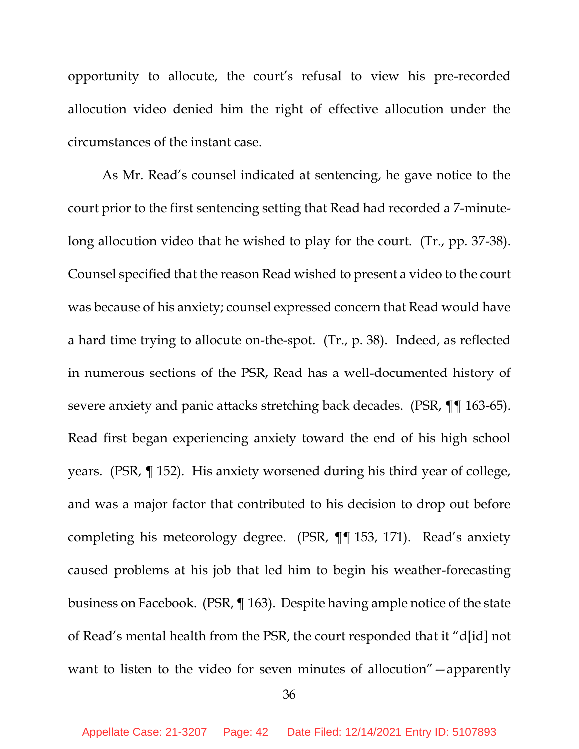opportunity to allocute, the court's refusal to view his pre-recorded allocution video denied him the right of effective allocution under the circumstances of the instant case.

As Mr. Read's counsel indicated at sentencing, he gave notice to the court prior to the first sentencing setting that Read had recorded a 7-minutelong allocution video that he wished to play for the court. (Tr., pp. 37-38). Counsel specified that the reason Read wished to present a video to the court was because of his anxiety; counsel expressed concern that Read would have a hard time trying to allocute on-the-spot. (Tr., p. 38). Indeed, as reflected in numerous sections of the PSR, Read has a well-documented history of severe anxiety and panic attacks stretching back decades. (PSR, ¶¶ 163-65). Read first began experiencing anxiety toward the end of his high school years. (PSR, ¶ 152). His anxiety worsened during his third year of college, and was a major factor that contributed to his decision to drop out before completing his meteorology degree. (PSR, ¶¶ 153, 171). Read's anxiety caused problems at his job that led him to begin his weather-forecasting business on Facebook. (PSR, ¶ 163). Despite having ample notice of the state of Read's mental health from the PSR, the court responded that it "d[id] not want to listen to the video for seven minutes of allocution" - apparently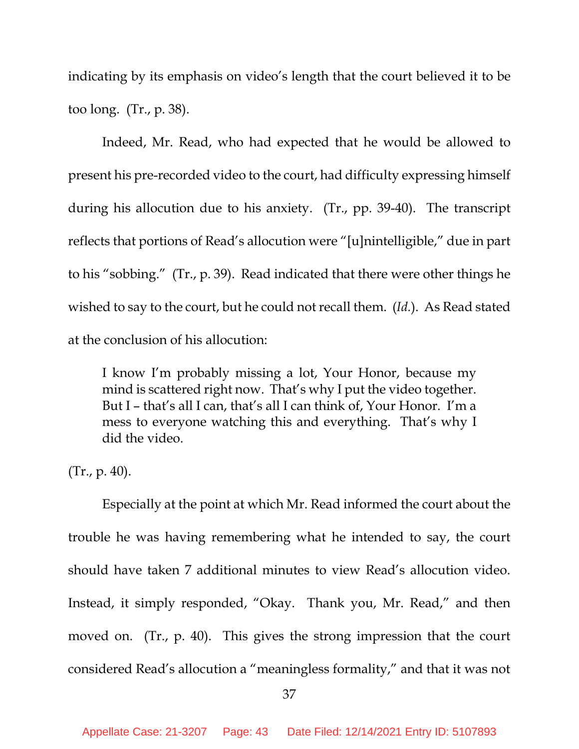indicating by its emphasis on video's length that the court believed it to be too long. (Tr., p. 38).

Indeed, Mr. Read, who had expected that he would be allowed to present his pre-recorded video to the court, had difficulty expressing himself during his allocution due to his anxiety. (Tr., pp. 39-40). The transcript reflects that portions of Read's allocution were "[u]nintelligible," due in part to his "sobbing." (Tr., p. 39). Read indicated that there were other things he wished to say to the court, but he could not recall them. (*Id.*). As Read stated at the conclusion of his allocution:

I know I'm probably missing a lot, Your Honor, because my mind is scattered right now. That's why I put the video together. But I – that's all I can, that's all I can think of, Your Honor. I'm a mess to everyone watching this and everything. That's why I did the video.

(Tr., p. 40).

Especially at the point at which Mr. Read informed the court about the trouble he was having remembering what he intended to say, the court should have taken 7 additional minutes to view Read's allocution video. Instead, it simply responded, "Okay. Thank you, Mr. Read," and then moved on. (Tr., p. 40). This gives the strong impression that the court considered Read's allocution a "meaningless formality," and that it was not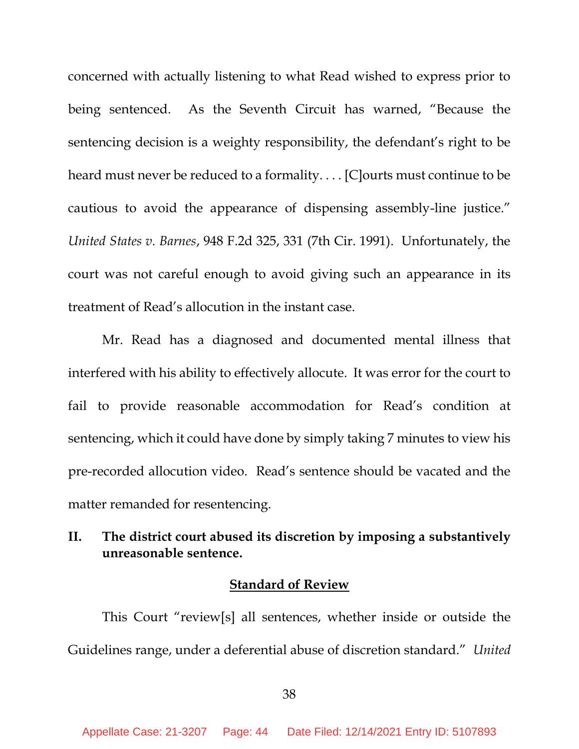concerned with actually listening to what Read wished to express prior to being sentenced. As the Seventh Circuit has warned, "Because the sentencing decision is a weighty responsibility, the defendant's right to be heard must never be reduced to a formality. . . . [C]ourts must continue to be cautious to avoid the appearance of dispensing assembly-line justice." *United States v. Barnes*, 948 F.2d 325, 331 (7th Cir. 1991). Unfortunately, the court was not careful enough to avoid giving such an appearance in its treatment of Read's allocution in the instant case.

Mr. Read has a diagnosed and documented mental illness that interfered with his ability to effectively allocute. It was error for the court to fail to provide reasonable accommodation for Read's condition at sentencing, which it could have done by simply taking 7 minutes to view his pre-recorded allocution video. Read's sentence should be vacated and the matter remanded for resentencing.

## **II. The district court abused its discretion by imposing a substantively unreasonable sentence.**

### **Standard of Review**

This Court "review[s] all sentences, whether inside or outside the Guidelines range, under a deferential abuse of discretion standard." *United*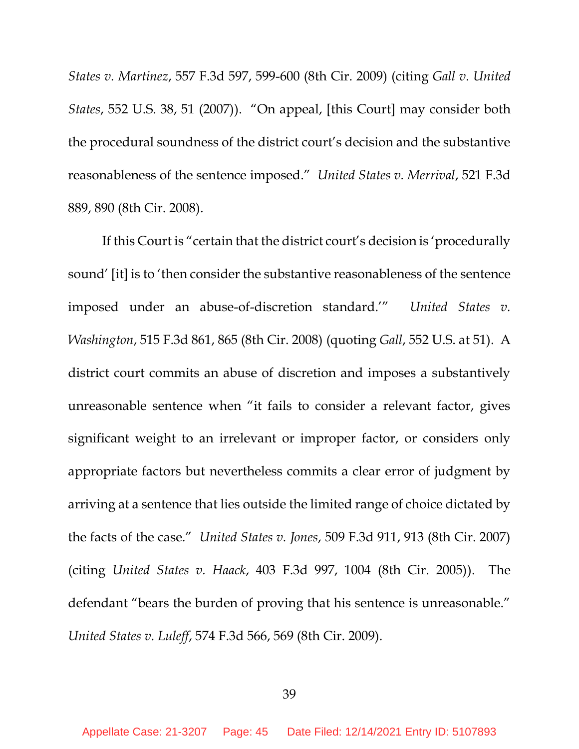*States v. Martinez*, 557 F.3d 597, 599-600 (8th Cir. 2009) (citing *Gall v. United States*, 552 U.S. 38, 51 (2007)). "On appeal, [this Court] may consider both the procedural soundness of the district court's decision and the substantive reasonableness of the sentence imposed." *United States v. Merrival*, 521 F.3d 889, 890 (8th Cir. 2008).

If this Court is "certain that the district court's decision is 'procedurally sound' [it] is to 'then consider the substantive reasonableness of the sentence imposed under an abuse-of-discretion standard.'" *United States v. Washington*, 515 F.3d 861, 865 (8th Cir. 2008) (quoting *Gall*, 552 U.S. at 51). A district court commits an abuse of discretion and imposes a substantively unreasonable sentence when "it fails to consider a relevant factor, gives significant weight to an irrelevant or improper factor, or considers only appropriate factors but nevertheless commits a clear error of judgment by arriving at a sentence that lies outside the limited range of choice dictated by the facts of the case." *United States v. Jones*, 509 F.3d 911, 913 (8th Cir. 2007) (citing *United States v. Haack*, 403 F.3d 997, 1004 (8th Cir. 2005)). The defendant "bears the burden of proving that his sentence is unreasonable." *United States v. Luleff*, 574 F.3d 566, 569 (8th Cir. 2009).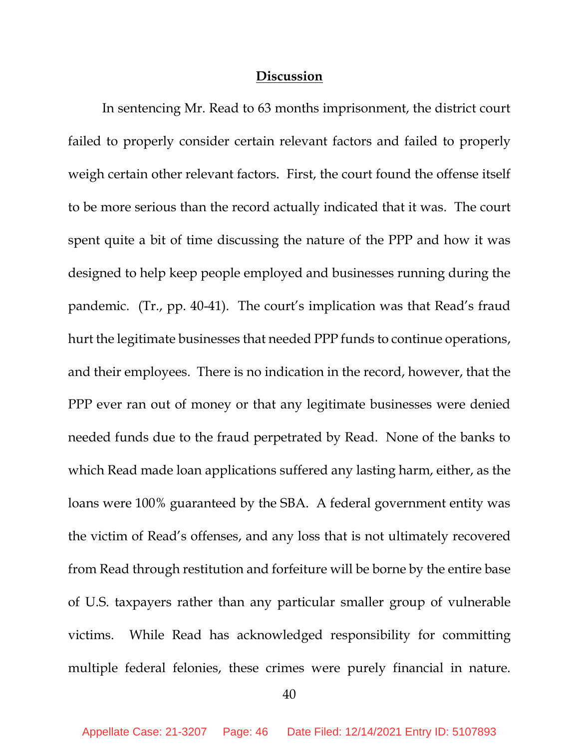### **Discussion**

In sentencing Mr. Read to 63 months imprisonment, the district court failed to properly consider certain relevant factors and failed to properly weigh certain other relevant factors. First, the court found the offense itself to be more serious than the record actually indicated that it was. The court spent quite a bit of time discussing the nature of the PPP and how it was designed to help keep people employed and businesses running during the pandemic. (Tr., pp. 40-41). The court's implication was that Read's fraud hurt the legitimate businesses that needed PPP funds to continue operations, and their employees. There is no indication in the record, however, that the PPP ever ran out of money or that any legitimate businesses were denied needed funds due to the fraud perpetrated by Read. None of the banks to which Read made loan applications suffered any lasting harm, either, as the loans were 100% guaranteed by the SBA. A federal government entity was the victim of Read's offenses, and any loss that is not ultimately recovered from Read through restitution and forfeiture will be borne by the entire base of U.S. taxpayers rather than any particular smaller group of vulnerable victims. While Read has acknowledged responsibility for committing multiple federal felonies, these crimes were purely financial in nature.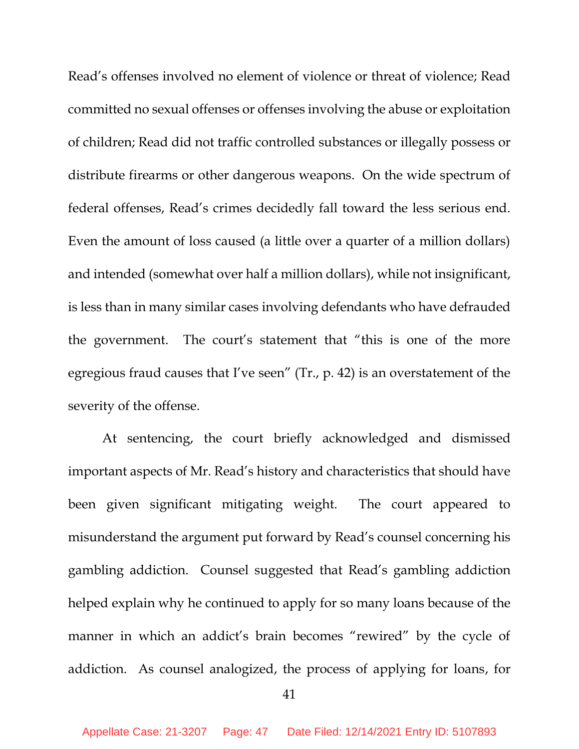Read's offenses involved no element of violence or threat of violence; Read committed no sexual offenses or offenses involving the abuse or exploitation of children; Read did not traffic controlled substances or illegally possess or distribute firearms or other dangerous weapons. On the wide spectrum of federal offenses, Read's crimes decidedly fall toward the less serious end. Even the amount of loss caused (a little over a quarter of a million dollars) and intended (somewhat over half a million dollars), while not insignificant, is less than in many similar cases involving defendants who have defrauded the government. The court's statement that "this is one of the more egregious fraud causes that I've seen" (Tr., p. 42) is an overstatement of the severity of the offense.

At sentencing, the court briefly acknowledged and dismissed important aspects of Mr. Read's history and characteristics that should have been given significant mitigating weight. The court appeared to misunderstand the argument put forward by Read's counsel concerning his gambling addiction. Counsel suggested that Read's gambling addiction helped explain why he continued to apply for so many loans because of the manner in which an addict's brain becomes "rewired" by the cycle of addiction. As counsel analogized, the process of applying for loans, for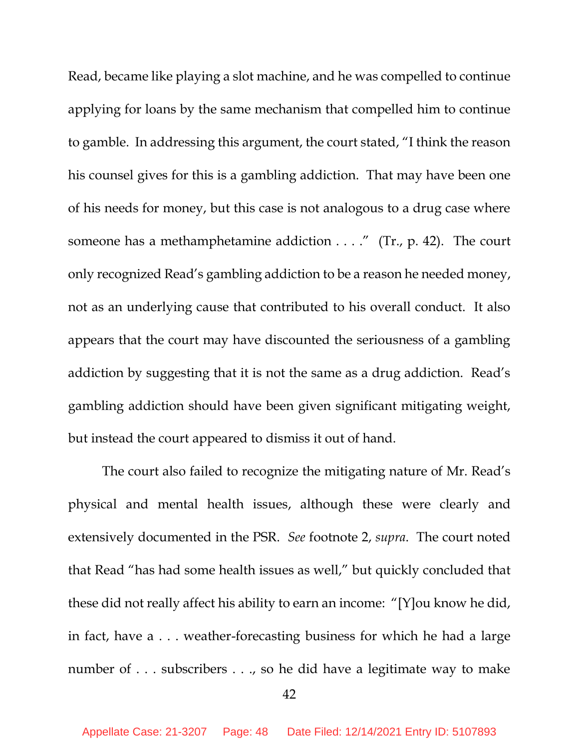Read, became like playing a slot machine, and he was compelled to continue applying for loans by the same mechanism that compelled him to continue to gamble. In addressing this argument, the court stated, "I think the reason his counsel gives for this is a gambling addiction. That may have been one of his needs for money, but this case is not analogous to a drug case where someone has a methamphetamine addiction  $\dots$ ." (Tr., p. 42). The court only recognized Read's gambling addiction to be a reason he needed money, not as an underlying cause that contributed to his overall conduct. It also appears that the court may have discounted the seriousness of a gambling addiction by suggesting that it is not the same as a drug addiction. Read's gambling addiction should have been given significant mitigating weight, but instead the court appeared to dismiss it out of hand.

The court also failed to recognize the mitigating nature of Mr. Read's physical and mental health issues, although these were clearly and extensively documented in the PSR. *See* footnote 2, *supra*. The court noted that Read "has had some health issues as well," but quickly concluded that these did not really affect his ability to earn an income: "[Y]ou know he did, in fact, have a . . . weather-forecasting business for which he had a large number of . . . subscribers . . ., so he did have a legitimate way to make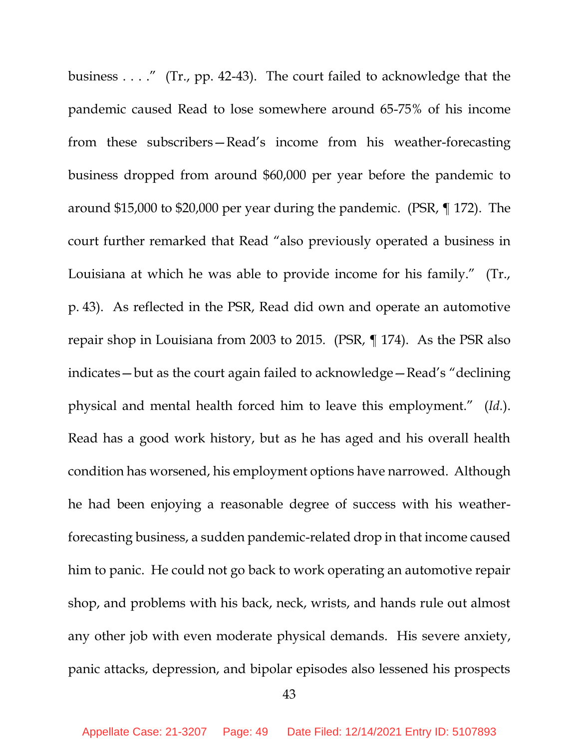business . . . ." (Tr., pp. 42-43). The court failed to acknowledge that the pandemic caused Read to lose somewhere around 65-75% of his income from these subscribers—Read's income from his weather-forecasting business dropped from around \$60,000 per year before the pandemic to around \$15,000 to \$20,000 per year during the pandemic. (PSR, ¶ 172). The court further remarked that Read "also previously operated a business in Louisiana at which he was able to provide income for his family." (Tr., p. 43). As reflected in the PSR, Read did own and operate an automotive repair shop in Louisiana from 2003 to 2015. (PSR, ¶ 174). As the PSR also indicates—but as the court again failed to acknowledge—Read's "declining physical and mental health forced him to leave this employment." (*Id.*). Read has a good work history, but as he has aged and his overall health condition has worsened, his employment options have narrowed. Although he had been enjoying a reasonable degree of success with his weatherforecasting business, a sudden pandemic-related drop in that income caused him to panic. He could not go back to work operating an automotive repair shop, and problems with his back, neck, wrists, and hands rule out almost any other job with even moderate physical demands. His severe anxiety, panic attacks, depression, and bipolar episodes also lessened his prospects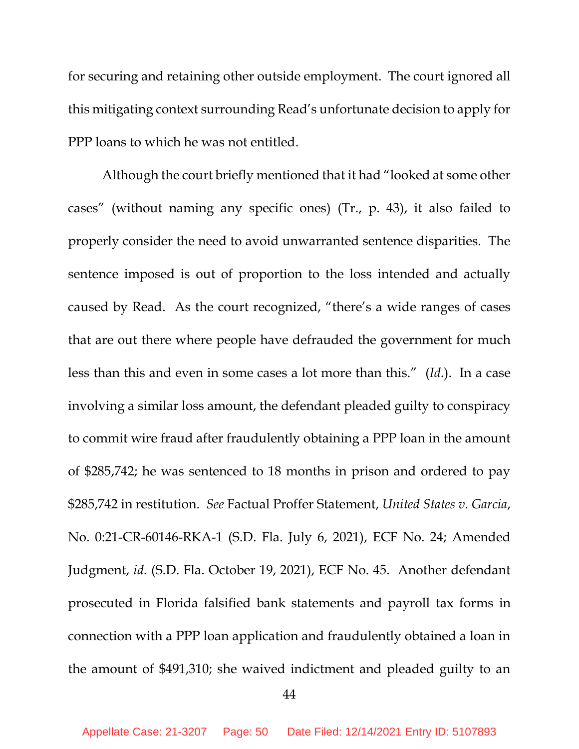for securing and retaining other outside employment. The court ignored all this mitigating context surrounding Read's unfortunate decision to apply for PPP loans to which he was not entitled.

Although the court briefly mentioned that it had "looked at some other cases" (without naming any specific ones) (Tr., p. 43), it also failed to properly consider the need to avoid unwarranted sentence disparities. The sentence imposed is out of proportion to the loss intended and actually caused by Read. As the court recognized, "there's a wide ranges of cases that are out there where people have defrauded the government for much less than this and even in some cases a lot more than this." (*Id.*). In a case involving a similar loss amount, the defendant pleaded guilty to conspiracy to commit wire fraud after fraudulently obtaining a PPP loan in the amount of \$285,742; he was sentenced to 18 months in prison and ordered to pay \$285,742 in restitution. *See* Factual Proffer Statement, *United States v. Garcia*, No. 0:21-CR-60146-RKA-1 (S.D. Fla. July 6, 2021), ECF No. 24; Amended Judgment, *id.* (S.D. Fla. October 19, 2021), ECF No. 45. Another defendant prosecuted in Florida falsified bank statements and payroll tax forms in connection with a PPP loan application and fraudulently obtained a loan in the amount of \$491,310; she waived indictment and pleaded guilty to an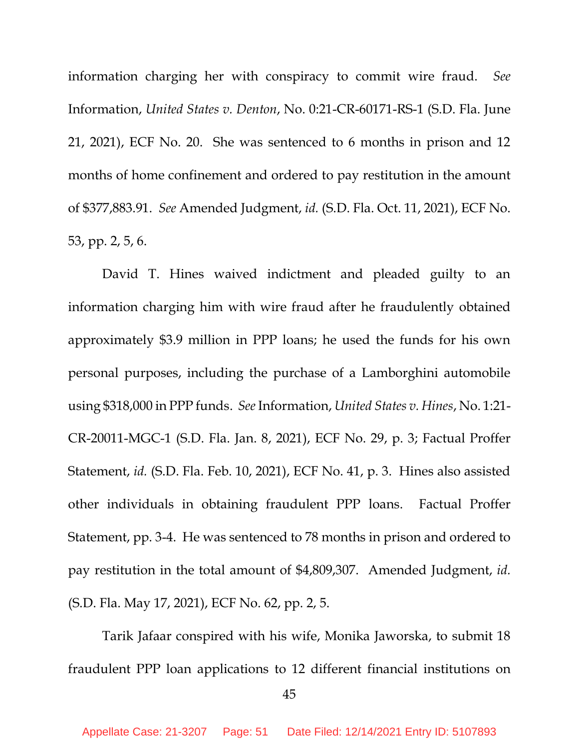information charging her with conspiracy to commit wire fraud. *See* Information, *United States v. Denton*, No. 0:21-CR-60171-RS-1 (S.D. Fla. June 21, 2021), ECF No. 20. She was sentenced to 6 months in prison and 12 months of home confinement and ordered to pay restitution in the amount of \$377,883.91. *See* Amended Judgment, *id.* (S.D. Fla. Oct. 11, 2021), ECF No. 53, pp. 2, 5, 6.

David T. Hines waived indictment and pleaded guilty to an information charging him with wire fraud after he fraudulently obtained approximately \$3.9 million in PPP loans; he used the funds for his own personal purposes, including the purchase of a Lamborghini automobile using \$318,000 in PPP funds. *See* Information, *United States v. Hines*, No. 1:21- CR-20011-MGC-1 (S.D. Fla. Jan. 8, 2021), ECF No. 29, p. 3; Factual Proffer Statement, *id.* (S.D. Fla. Feb. 10, 2021), ECF No. 41, p. 3. Hines also assisted other individuals in obtaining fraudulent PPP loans. Factual Proffer Statement, pp. 3-4. He was sentenced to 78 months in prison and ordered to pay restitution in the total amount of \$4,809,307. Amended Judgment, *id.* (S.D. Fla. May 17, 2021), ECF No. 62, pp. 2, 5.

Tarik Jafaar conspired with his wife, Monika Jaworska, to submit 18 fraudulent PPP loan applications to 12 different financial institutions on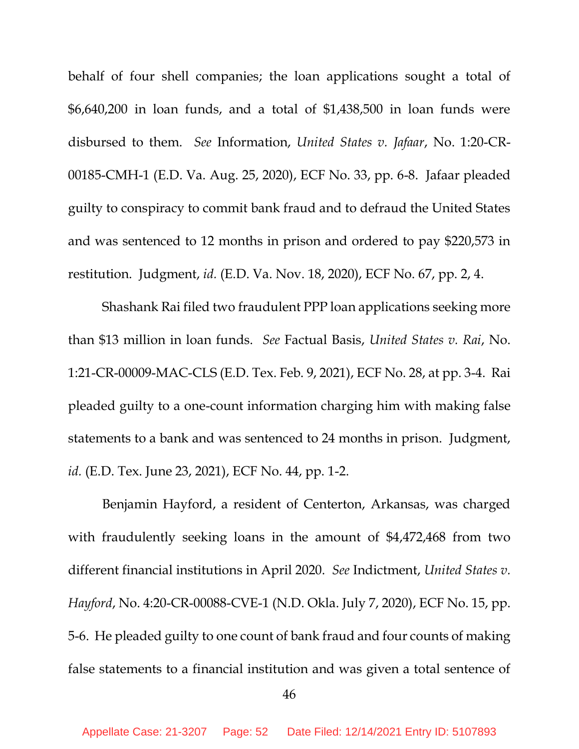behalf of four shell companies; the loan applications sought a total of \$6,640,200 in loan funds, and a total of \$1,438,500 in loan funds were disbursed to them. *See* Information, *United States v. Jafaar*, No. 1:20-CR-00185-CMH-1 (E.D. Va. Aug. 25, 2020), ECF No. 33, pp. 6-8. Jafaar pleaded guilty to conspiracy to commit bank fraud and to defraud the United States and was sentenced to 12 months in prison and ordered to pay \$220,573 in restitution. Judgment, *id.* (E.D. Va. Nov. 18, 2020), ECF No. 67, pp. 2, 4.

Shashank Rai filed two fraudulent PPP loan applications seeking more than \$13 million in loan funds. *See* Factual Basis, *United States v. Rai*, No. 1:21-CR-00009-MAC-CLS (E.D. Tex. Feb. 9, 2021), ECF No. 28, at pp. 3-4. Rai pleaded guilty to a one-count information charging him with making false statements to a bank and was sentenced to 24 months in prison. Judgment, *id.* (E.D. Tex. June 23, 2021), ECF No. 44, pp. 1-2.

Benjamin Hayford, a resident of Centerton, Arkansas, was charged with fraudulently seeking loans in the amount of \$4,472,468 from two different financial institutions in April 2020. *See* Indictment, *United States v. Hayford*, No. 4:20-CR-00088-CVE-1 (N.D. Okla. July 7, 2020), ECF No. 15, pp. 5-6. He pleaded guilty to one count of bank fraud and four counts of making false statements to a financial institution and was given a total sentence of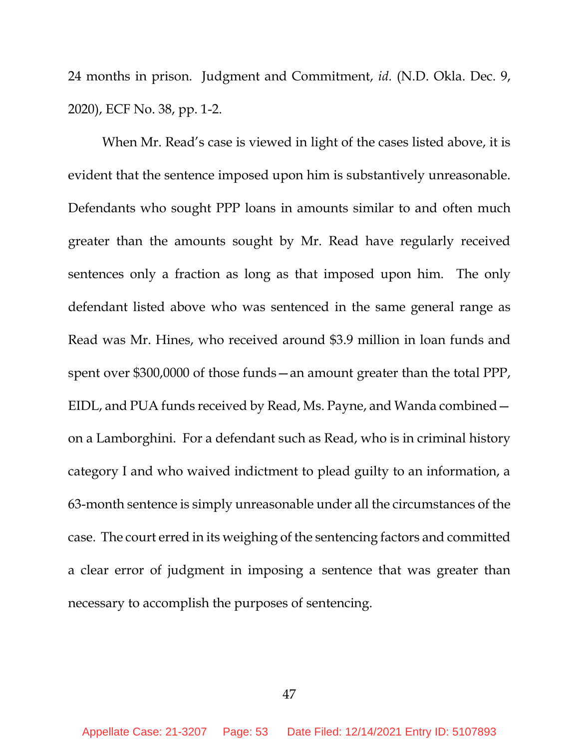24 months in prison. Judgment and Commitment, *id.* (N.D. Okla. Dec. 9, 2020), ECF No. 38, pp. 1-2.

When Mr. Read's case is viewed in light of the cases listed above, it is evident that the sentence imposed upon him is substantively unreasonable. Defendants who sought PPP loans in amounts similar to and often much greater than the amounts sought by Mr. Read have regularly received sentences only a fraction as long as that imposed upon him. The only defendant listed above who was sentenced in the same general range as Read was Mr. Hines, who received around \$3.9 million in loan funds and spent over \$300,0000 of those funds—an amount greater than the total PPP, EIDL, and PUA funds received by Read, Ms. Payne, and Wanda combined on a Lamborghini. For a defendant such as Read, who is in criminal history category I and who waived indictment to plead guilty to an information, a 63-month sentence is simply unreasonable under all the circumstances of the case. The court erred in its weighing of the sentencing factors and committed a clear error of judgment in imposing a sentence that was greater than necessary to accomplish the purposes of sentencing.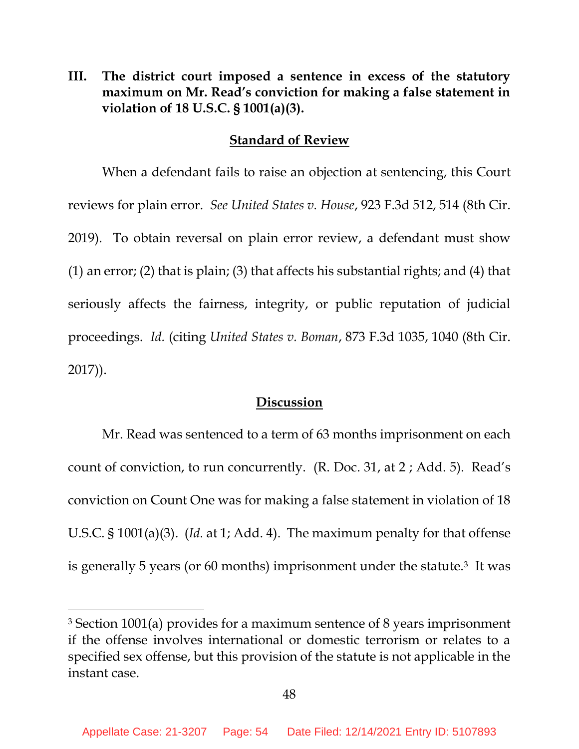**III. The district court imposed a sentence in excess of the statutory maximum on Mr. Read's conviction for making a false statement in violation of 18 U.S.C. § 1001(a)(3).**

#### **Standard of Review**

When a defendant fails to raise an objection at sentencing, this Court reviews for plain error. *See United States v. House*, 923 F.3d 512, 514 (8th Cir. 2019). To obtain reversal on plain error review, a defendant must show (1) an error; (2) that is plain; (3) that affects his substantial rights; and (4) that seriously affects the fairness, integrity, or public reputation of judicial proceedings. *Id.* (citing *United States v. Boman*, 873 F.3d 1035, 1040 (8th Cir. 2017)).

### **Discussion**

Mr. Read was sentenced to a term of 63 months imprisonment on each count of conviction, to run concurrently. (R. Doc. 31, at 2 ; Add. 5). Read's conviction on Count One was for making a false statement in violation of 18 U.S.C. § 1001(a)(3). (*Id.* at 1; Add. 4). The maximum penalty for that offense is generally 5 years (or 60 months) imprisonment under the statute.<sup>3</sup> It was

<sup>3</sup> Section 1001(a) provides for a maximum sentence of 8 years imprisonment if the offense involves international or domestic terrorism or relates to a specified sex offense, but this provision of the statute is not applicable in the instant case.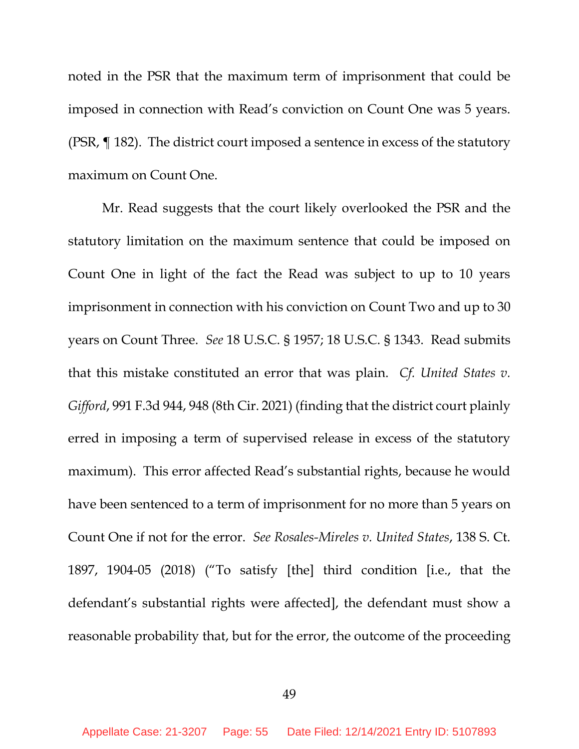noted in the PSR that the maximum term of imprisonment that could be imposed in connection with Read's conviction on Count One was 5 years. (PSR, ¶ 182). The district court imposed a sentence in excess of the statutory maximum on Count One.

Mr. Read suggests that the court likely overlooked the PSR and the statutory limitation on the maximum sentence that could be imposed on Count One in light of the fact the Read was subject to up to 10 years imprisonment in connection with his conviction on Count Two and up to 30 years on Count Three. *See* 18 U.S.C. § 1957; 18 U.S.C. § 1343. Read submits that this mistake constituted an error that was plain. *Cf. United States v. Gifford*, 991 F.3d 944, 948 (8th Cir. 2021) (finding that the district court plainly erred in imposing a term of supervised release in excess of the statutory maximum). This error affected Read's substantial rights, because he would have been sentenced to a term of imprisonment for no more than 5 years on Count One if not for the error. *See Rosales-Mireles v. United States*, 138 S. Ct. 1897, 1904-05 (2018) ("To satisfy [the] third condition [i.e., that the defendant's substantial rights were affected], the defendant must show a reasonable probability that, but for the error, the outcome of the proceeding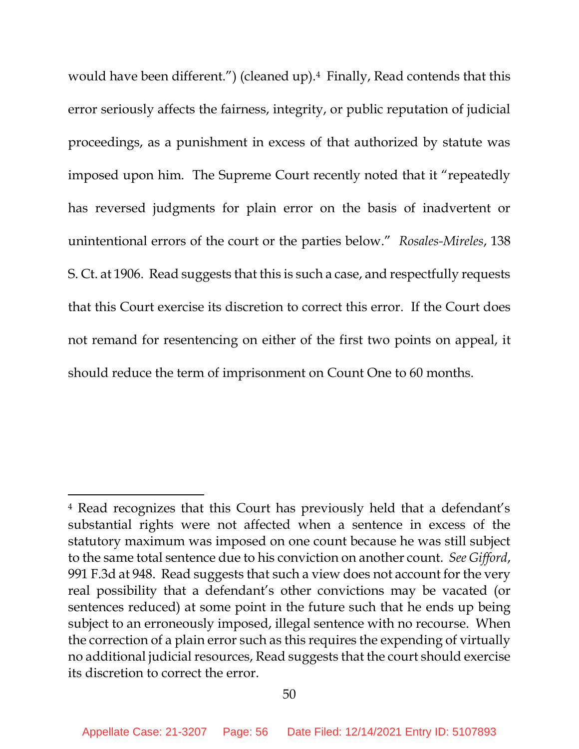would have been different.") (cleaned up).<sup>4</sup> Finally, Read contends that this error seriously affects the fairness, integrity, or public reputation of judicial proceedings, as a punishment in excess of that authorized by statute was imposed upon him. The Supreme Court recently noted that it "repeatedly has reversed judgments for plain error on the basis of inadvertent or unintentional errors of the court or the parties below." *Rosales-Mireles*, 138 S. Ct. at 1906. Read suggests that this is such a case, and respectfully requests that this Court exercise its discretion to correct this error. If the Court does not remand for resentencing on either of the first two points on appeal, it should reduce the term of imprisonment on Count One to 60 months.

<sup>4</sup> Read recognizes that this Court has previously held that a defendant's substantial rights were not affected when a sentence in excess of the statutory maximum was imposed on one count because he was still subject to the same total sentence due to his conviction on another count. *See Gifford*, 991 F.3d at 948. Read suggests that such a view does not account for the very real possibility that a defendant's other convictions may be vacated (or sentences reduced) at some point in the future such that he ends up being subject to an erroneously imposed, illegal sentence with no recourse. When the correction of a plain error such as this requires the expending of virtually no additional judicial resources, Read suggests that the court should exercise its discretion to correct the error.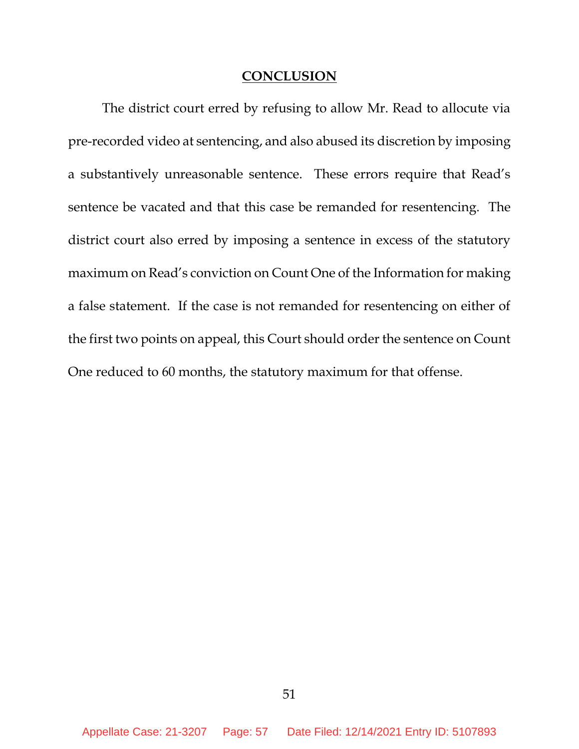#### **CONCLUSION**

The district court erred by refusing to allow Mr. Read to allocute via pre-recorded video at sentencing, and also abused its discretion by imposing a substantively unreasonable sentence. These errors require that Read's sentence be vacated and that this case be remanded for resentencing. The district court also erred by imposing a sentence in excess of the statutory maximum on Read's conviction on Count One of the Information for making a false statement. If the case is not remanded for resentencing on either of the first two points on appeal, this Court should order the sentence on Count One reduced to 60 months, the statutory maximum for that offense.